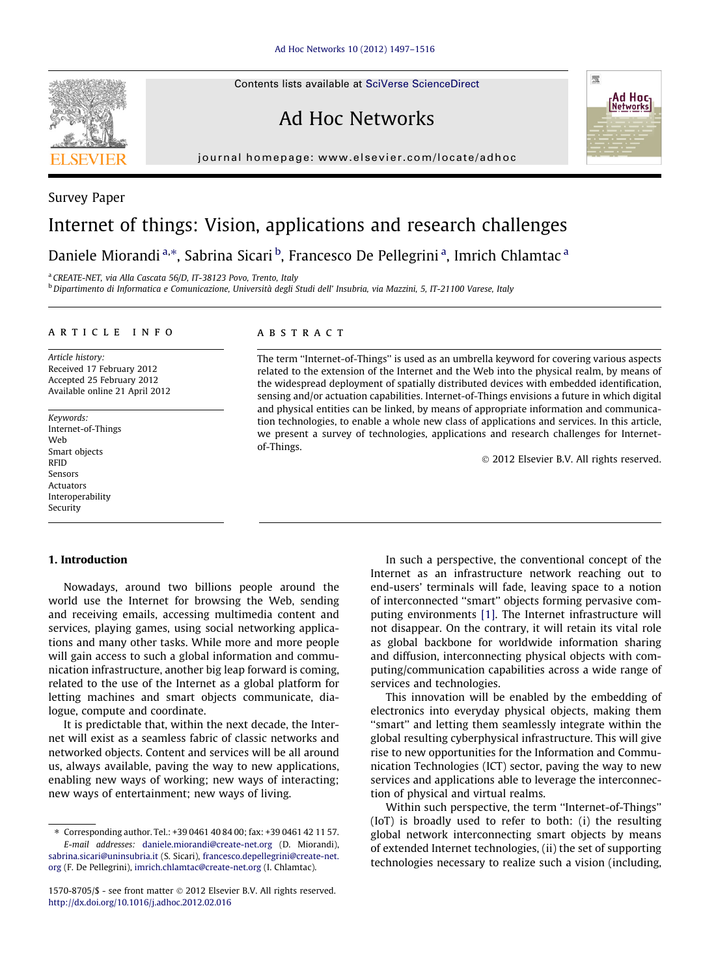Contents lists available at [SciVerse ScienceDirect](http://www.sciencedirect.com/science/journal/15708705)

### Ad Hoc Networks



journal homepage: [www.elsevier.com/locate/adhoc](http://www.elsevier.com/locate/adhoc)

# Internet of things: Vision, applications and research challenges

Daniele Miorandi <sup>a,\*</sup>, Sabrina Sicari <sup>b</sup>, Francesco De Pellegrini <sup>a</sup>, Imrich Chlamtac <sup>a</sup>

<sup>a</sup> CREATE-NET, via Alla Cascata 56/D, IT-38123 Povo, Trento, Italy

<sup>b</sup> Dipartimento di Informatica e Comunicazione, Università degli Studi dell' Insubria, via Mazzini, 5, IT-21100 Varese, Italy

#### article info

Article history: Received 17 February 2012 Accepted 25 February 2012 Available online 21 April 2012

Keywords: Internet-of-Things Web Smart objects RFID Sensors Actuators Interoperability Security

## 1. Introduction

Nowadays, around two billions people around the world use the Internet for browsing the Web, sending

and receiving emails, accessing multimedia content and services, playing games, using social networking applications and many other tasks. While more and more people will gain access to such a global information and communication infrastructure, another big leap forward is coming, related to the use of the Internet as a global platform for letting machines and smart objects communicate, dialogue, compute and coordinate.

It is predictable that, within the next decade, the Internet will exist as a seamless fabric of classic networks and networked objects. Content and services will be all around us, always available, paving the way to new applications, enabling new ways of working; new ways of interacting; new ways of entertainment; new ways of living.

#### **ABSTRACT**

The term ''Internet-of-Things'' is used as an umbrella keyword for covering various aspects related to the extension of the Internet and the Web into the physical realm, by means of the widespread deployment of spatially distributed devices with embedded identification, sensing and/or actuation capabilities. Internet-of-Things envisions a future in which digital and physical entities can be linked, by means of appropriate information and communication technologies, to enable a whole new class of applications and services. In this article, we present a survey of technologies, applications and research challenges for Internetof-Things.

- 2012 Elsevier B.V. All rights reserved.

In such a perspective, the conventional concept of the Internet as an infrastructure network reaching out to end-users' terminals will fade, leaving space to a notion of interconnected ''smart'' objects forming pervasive computing environments [\[1\].](#page-16-0) The Internet infrastructure will not disappear. On the contrary, it will retain its vital role as global backbone for worldwide information sharing and diffusion, interconnecting physical objects with computing/communication capabilities across a wide range of services and technologies.

This innovation will be enabled by the embedding of electronics into everyday physical objects, making them ''smart'' and letting them seamlessly integrate within the global resulting cyberphysical infrastructure. This will give rise to new opportunities for the Information and Communication Technologies (ICT) sector, paving the way to new services and applications able to leverage the interconnection of physical and virtual realms.

Within such perspective, the term ''Internet-of-Things'' (IoT) is broadly used to refer to both: (i) the resulting global network interconnecting smart objects by means of extended Internet technologies, (ii) the set of supporting technologies necessary to realize such a vision (including,



Survey Paper

<sup>⇑</sup> Corresponding author. Tel.: +39 0461 40 84 00; fax: +39 0461 42 11 57. E-mail addresses: [daniele.miorandi@create-net.org](mailto:daniele.miorandi@create-net.org) (D. Miorandi), [sabrina.sicari@uninsubria.it](mailto:sabrina.sicari@uninsubria.it) (S. Sicari), [francesco.depellegrini@create-net.](mailto:francesco.depellegrini@create-net.org) [org](mailto:francesco.depellegrini@create-net.org) (F. De Pellegrini), [imrich.chlamtac@create-net.org](mailto:imrich.chlamtac@create-net.org) (I. Chlamtac).

<sup>1570-8705/\$ -</sup> see front matter © 2012 Elsevier B.V. All rights reserved. <http://dx.doi.org/10.1016/j.adhoc.2012.02.016>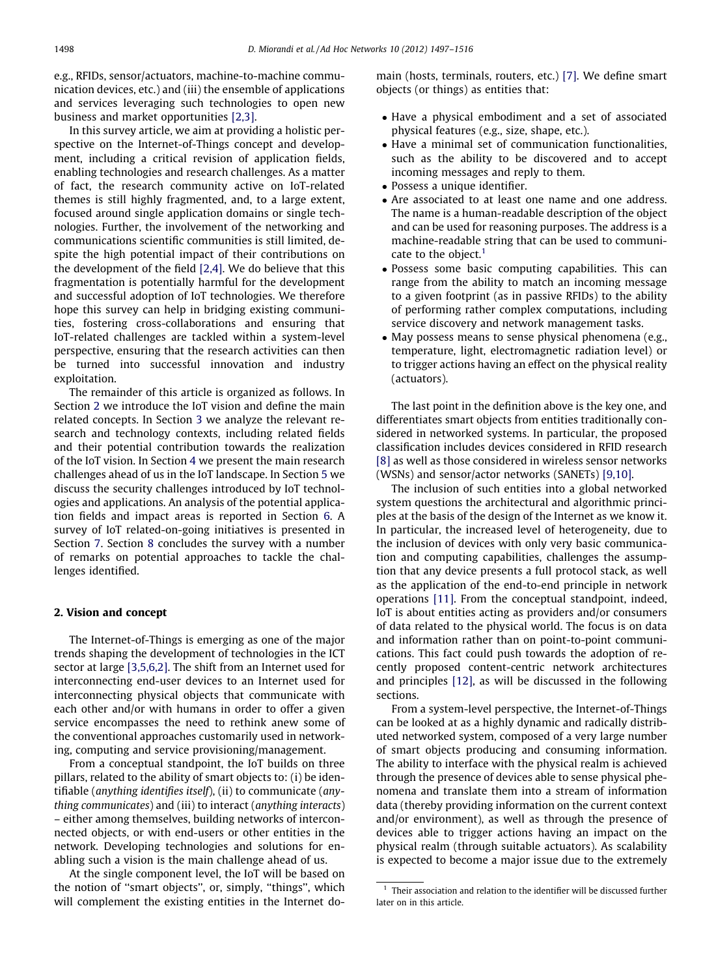e.g., RFIDs, sensor/actuators, machine-to-machine communication devices, etc.) and (iii) the ensemble of applications and services leveraging such technologies to open new business and market opportunities [\[2,3\]](#page-16-0).

In this survey article, we aim at providing a holistic perspective on the Internet-of-Things concept and development, including a critical revision of application fields, enabling technologies and research challenges. As a matter of fact, the research community active on IoT-related themes is still highly fragmented, and, to a large extent, focused around single application domains or single technologies. Further, the involvement of the networking and communications scientific communities is still limited, despite the high potential impact of their contributions on the development of the field [\[2,4\]](#page-16-0). We do believe that this fragmentation is potentially harmful for the development and successful adoption of IoT technologies. We therefore hope this survey can help in bridging existing communities, fostering cross-collaborations and ensuring that IoT-related challenges are tackled within a system-level perspective, ensuring that the research activities can then be turned into successful innovation and industry exploitation.

The remainder of this article is organized as follows. In Section 2 we introduce the IoT vision and define the main related concepts. In Section 3 we analyze the relevant research and technology contexts, including related fields and their potential contribution towards the realization of the IoT vision. In Section 4 we present the main research challenges ahead of us in the IoT landscape. In Section 5 we discuss the security challenges introduced by IoT technologies and applications. An analysis of the potential application fields and impact areas is reported in Section 6. A survey of IoT related-on-going initiatives is presented in Section 7. Section 8 concludes the survey with a number of remarks on potential approaches to tackle the challenges identified.

#### 2. Vision and concept

The Internet-of-Things is emerging as one of the major trends shaping the development of technologies in the ICT sector at large [\[3,5,6,2\].](#page-16-0) The shift from an Internet used for interconnecting end-user devices to an Internet used for interconnecting physical objects that communicate with each other and/or with humans in order to offer a given service encompasses the need to rethink anew some of the conventional approaches customarily used in networking, computing and service provisioning/management.

From a conceptual standpoint, the IoT builds on three pillars, related to the ability of smart objects to: (i) be identifiable (anything identifies itself), (ii) to communicate (anything communicates) and (iii) to interact (anything interacts) – either among themselves, building networks of interconnected objects, or with end-users or other entities in the network. Developing technologies and solutions for enabling such a vision is the main challenge ahead of us.

At the single component level, the IoT will be based on the notion of ''smart objects'', or, simply, ''things'', which will complement the existing entities in the Internet domain (hosts, terminals, routers, etc.) [\[7\].](#page-16-0) We define smart objects (or things) as entities that:

- Have a physical embodiment and a set of associated physical features (e.g., size, shape, etc.).
- Have a minimal set of communication functionalities, such as the ability to be discovered and to accept incoming messages and reply to them.
- Possess a unique identifier.
- Are associated to at least one name and one address. The name is a human-readable description of the object and can be used for reasoning purposes. The address is a machine-readable string that can be used to communicate to the object. $1$
- Possess some basic computing capabilities. This can range from the ability to match an incoming message to a given footprint (as in passive RFIDs) to the ability of performing rather complex computations, including service discovery and network management tasks.
- May possess means to sense physical phenomena (e.g., temperature, light, electromagnetic radiation level) or to trigger actions having an effect on the physical reality (actuators).

The last point in the definition above is the key one, and differentiates smart objects from entities traditionally considered in networked systems. In particular, the proposed classification includes devices considered in RFID research [\[8\]](#page-16-0) as well as those considered in wireless sensor networks (WSNs) and sensor/actor networks (SANETs) [\[9,10\]](#page-16-0).

The inclusion of such entities into a global networked system questions the architectural and algorithmic principles at the basis of the design of the Internet as we know it. In particular, the increased level of heterogeneity, due to the inclusion of devices with only very basic communication and computing capabilities, challenges the assumption that any device presents a full protocol stack, as well as the application of the end-to-end principle in network operations [\[11\]](#page-16-0). From the conceptual standpoint, indeed, IoT is about entities acting as providers and/or consumers of data related to the physical world. The focus is on data and information rather than on point-to-point communications. This fact could push towards the adoption of recently proposed content-centric network architectures and principles [\[12\],](#page-16-0) as will be discussed in the following sections.

From a system-level perspective, the Internet-of-Things can be looked at as a highly dynamic and radically distributed networked system, composed of a very large number of smart objects producing and consuming information. The ability to interface with the physical realm is achieved through the presence of devices able to sense physical phenomena and translate them into a stream of information data (thereby providing information on the current context and/or environment), as well as through the presence of devices able to trigger actions having an impact on the physical realm (through suitable actuators). As scalability is expected to become a major issue due to the extremely

 $^{\rm 1}$  Their association and relation to the identifier will be discussed further later on in this article.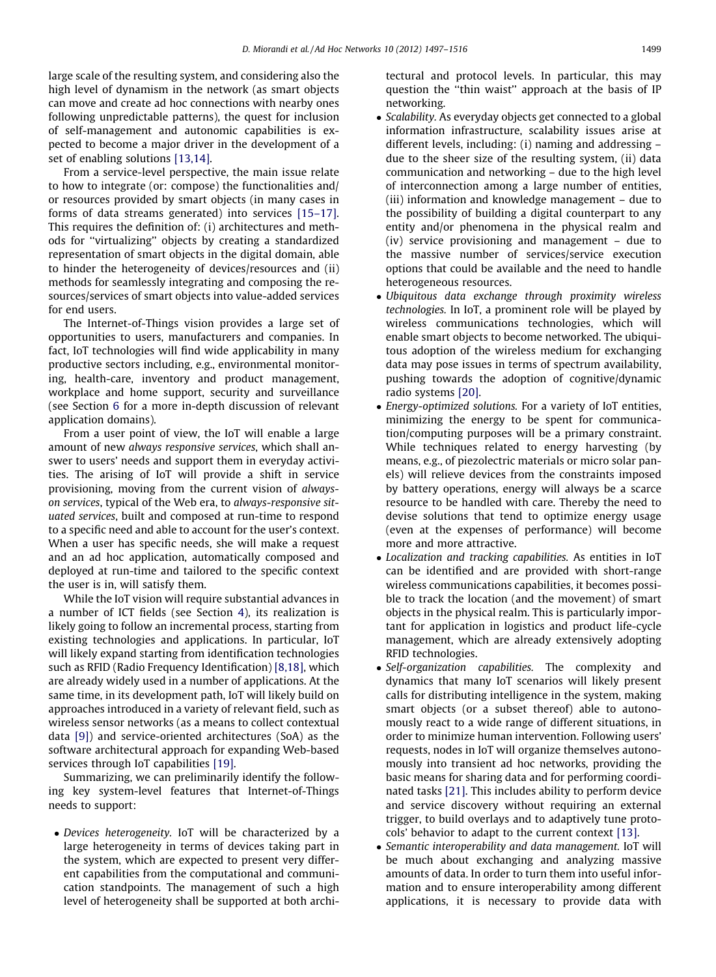large scale of the resulting system, and considering also the high level of dynamism in the network (as smart objects can move and create ad hoc connections with nearby ones following unpredictable patterns), the quest for inclusion of self-management and autonomic capabilities is expected to become a major driver in the development of a set of enabling solutions [\[13,14\].](#page-16-0)

From a service-level perspective, the main issue relate to how to integrate (or: compose) the functionalities and/ or resources provided by smart objects (in many cases in forms of data streams generated) into services [\[15–17\]](#page-16-0). This requires the definition of: (i) architectures and methods for ''virtualizing'' objects by creating a standardized representation of smart objects in the digital domain, able to hinder the heterogeneity of devices/resources and (ii) methods for seamlessly integrating and composing the resources/services of smart objects into value-added services for end users.

The Internet-of-Things vision provides a large set of opportunities to users, manufacturers and companies. In fact, IoT technologies will find wide applicability in many productive sectors including, e.g., environmental monitoring, health-care, inventory and product management, workplace and home support, security and surveillance (see Section 6 for a more in-depth discussion of relevant application domains).

From a user point of view, the IoT will enable a large amount of new always responsive services, which shall answer to users' needs and support them in everyday activities. The arising of IoT will provide a shift in service provisioning, moving from the current vision of alwayson services, typical of the Web era, to always-responsive situated services, built and composed at run-time to respond to a specific need and able to account for the user's context. When a user has specific needs, she will make a request and an ad hoc application, automatically composed and deployed at run-time and tailored to the specific context the user is in, will satisfy them.

While the IoT vision will require substantial advances in a number of ICT fields (see Section 4), its realization is likely going to follow an incremental process, starting from existing technologies and applications. In particular, IoT will likely expand starting from identification technologies such as RFID (Radio Frequency Identification) [\[8,18\],](#page-16-0) which are already widely used in a number of applications. At the same time, in its development path, IoT will likely build on approaches introduced in a variety of relevant field, such as wireless sensor networks (as a means to collect contextual data [\[9\]\)](#page-16-0) and service-oriented architectures (SoA) as the software architectural approach for expanding Web-based services through IoT capabilities [\[19\].](#page-16-0)

Summarizing, we can preliminarily identify the following key system-level features that Internet-of-Things needs to support:

- Devices heterogeneity. IoT will be characterized by a large heterogeneity in terms of devices taking part in the system, which are expected to present very different capabilities from the computational and communication standpoints. The management of such a high level of heterogeneity shall be supported at both architectural and protocol levels. In particular, this may question the ''thin waist'' approach at the basis of IP networking.

- Scalability. As everyday objects get connected to a global information infrastructure, scalability issues arise at different levels, including: (i) naming and addressing – due to the sheer size of the resulting system, (ii) data communication and networking – due to the high level of interconnection among a large number of entities, (iii) information and knowledge management – due to the possibility of building a digital counterpart to any entity and/or phenomena in the physical realm and (iv) service provisioning and management – due to the massive number of services/service execution options that could be available and the need to handle heterogeneous resources.
- Ubiquitous data exchange through proximity wireless technologies. In IoT, a prominent role will be played by wireless communications technologies, which will enable smart objects to become networked. The ubiquitous adoption of the wireless medium for exchanging data may pose issues in terms of spectrum availability, pushing towards the adoption of cognitive/dynamic radio systems [\[20\]](#page-16-0).
- *Energy-optimized solutions*. For a variety of IoT entities, minimizing the energy to be spent for communication/computing purposes will be a primary constraint. While techniques related to energy harvesting (by means, e.g., of piezolectric materials or micro solar panels) will relieve devices from the constraints imposed by battery operations, energy will always be a scarce resource to be handled with care. Thereby the need to devise solutions that tend to optimize energy usage (even at the expenses of performance) will become more and more attractive.
- Localization and tracking capabilities. As entities in IoT can be identified and are provided with short-range wireless communications capabilities, it becomes possible to track the location (and the movement) of smart objects in the physical realm. This is particularly important for application in logistics and product life-cycle management, which are already extensively adopting RFID technologies.
- Self-organization capabilities. The complexity and dynamics that many IoT scenarios will likely present calls for distributing intelligence in the system, making smart objects (or a subset thereof) able to autonomously react to a wide range of different situations, in order to minimize human intervention. Following users' requests, nodes in IoT will organize themselves autonomously into transient ad hoc networks, providing the basic means for sharing data and for performing coordinated tasks [\[21\].](#page-16-0) This includes ability to perform device and service discovery without requiring an external trigger, to build overlays and to adaptively tune protocols' behavior to adapt to the current context [\[13\].](#page-16-0)
- Semantic interoperability and data management. IoT will be much about exchanging and analyzing massive amounts of data. In order to turn them into useful information and to ensure interoperability among different applications, it is necessary to provide data with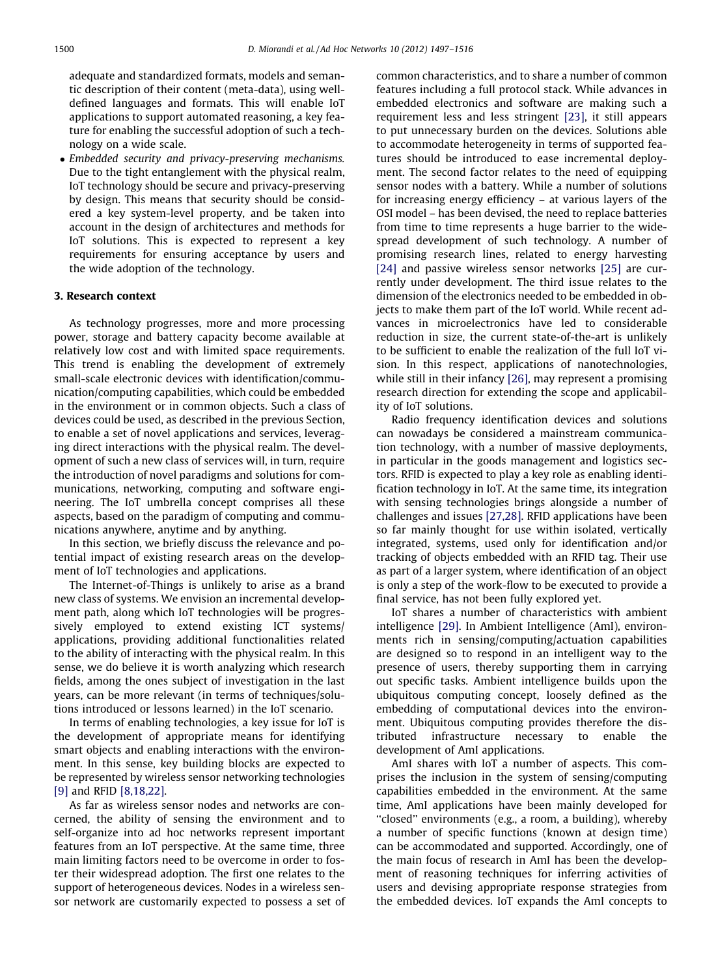adequate and standardized formats, models and semantic description of their content (meta-data), using welldefined languages and formats. This will enable IoT applications to support automated reasoning, a key feature for enabling the successful adoption of such a technology on a wide scale.

- Embedded security and privacy-preserving mechanisms. Due to the tight entanglement with the physical realm, IoT technology should be secure and privacy-preserving by design. This means that security should be considered a key system-level property, and be taken into account in the design of architectures and methods for IoT solutions. This is expected to represent a key requirements for ensuring acceptance by users and the wide adoption of the technology.

#### 3. Research context

As technology progresses, more and more processing power, storage and battery capacity become available at relatively low cost and with limited space requirements. This trend is enabling the development of extremely small-scale electronic devices with identification/communication/computing capabilities, which could be embedded in the environment or in common objects. Such a class of devices could be used, as described in the previous Section, to enable a set of novel applications and services, leveraging direct interactions with the physical realm. The development of such a new class of services will, in turn, require the introduction of novel paradigms and solutions for communications, networking, computing and software engineering. The IoT umbrella concept comprises all these aspects, based on the paradigm of computing and communications anywhere, anytime and by anything.

In this section, we briefly discuss the relevance and potential impact of existing research areas on the development of IoT technologies and applications.

The Internet-of-Things is unlikely to arise as a brand new class of systems. We envision an incremental development path, along which IoT technologies will be progressively employed to extend existing ICT systems/ applications, providing additional functionalities related to the ability of interacting with the physical realm. In this sense, we do believe it is worth analyzing which research fields, among the ones subject of investigation in the last years, can be more relevant (in terms of techniques/solutions introduced or lessons learned) in the IoT scenario.

In terms of enabling technologies, a key issue for IoT is the development of appropriate means for identifying smart objects and enabling interactions with the environment. In this sense, key building blocks are expected to be represented by wireless sensor networking technologies [\[9\]](#page-16-0) and RFID [\[8,18,22\]](#page-16-0).

As far as wireless sensor nodes and networks are concerned, the ability of sensing the environment and to self-organize into ad hoc networks represent important features from an IoT perspective. At the same time, three main limiting factors need to be overcome in order to foster their widespread adoption. The first one relates to the support of heterogeneous devices. Nodes in a wireless sensor network are customarily expected to possess a set of

common characteristics, and to share a number of common features including a full protocol stack. While advances in embedded electronics and software are making such a requirement less and less stringent [\[23\],](#page-16-0) it still appears to put unnecessary burden on the devices. Solutions able to accommodate heterogeneity in terms of supported features should be introduced to ease incremental deployment. The second factor relates to the need of equipping sensor nodes with a battery. While a number of solutions for increasing energy efficiency – at various layers of the OSI model – has been devised, the need to replace batteries from time to time represents a huge barrier to the widespread development of such technology. A number of promising research lines, related to energy harvesting [\[24\]](#page-16-0) and passive wireless sensor networks [\[25\]](#page-16-0) are currently under development. The third issue relates to the dimension of the electronics needed to be embedded in objects to make them part of the IoT world. While recent advances in microelectronics have led to considerable reduction in size, the current state-of-the-art is unlikely to be sufficient to enable the realization of the full IoT vision. In this respect, applications of nanotechnologies, while still in their infancy [\[26\],](#page-16-0) may represent a promising research direction for extending the scope and applicability of IoT solutions.

Radio frequency identification devices and solutions can nowadays be considered a mainstream communication technology, with a number of massive deployments, in particular in the goods management and logistics sectors. RFID is expected to play a key role as enabling identification technology in IoT. At the same time, its integration with sensing technologies brings alongside a number of challenges and issues [\[27,28\]](#page-16-0). RFID applications have been so far mainly thought for use within isolated, vertically integrated, systems, used only for identification and/or tracking of objects embedded with an RFID tag. Their use as part of a larger system, where identification of an object is only a step of the work-flow to be executed to provide a final service, has not been fully explored yet.

IoT shares a number of characteristics with ambient intelligence [\[29\]](#page-16-0). In Ambient Intelligence (AmI), environments rich in sensing/computing/actuation capabilities are designed so to respond in an intelligent way to the presence of users, thereby supporting them in carrying out specific tasks. Ambient intelligence builds upon the ubiquitous computing concept, loosely defined as the embedding of computational devices into the environment. Ubiquitous computing provides therefore the distributed infrastructure necessary to enable the development of AmI applications.

AmI shares with IoT a number of aspects. This comprises the inclusion in the system of sensing/computing capabilities embedded in the environment. At the same time, AmI applications have been mainly developed for ''closed'' environments (e.g., a room, a building), whereby a number of specific functions (known at design time) can be accommodated and supported. Accordingly, one of the main focus of research in AmI has been the development of reasoning techniques for inferring activities of users and devising appropriate response strategies from the embedded devices. IoT expands the AmI concepts to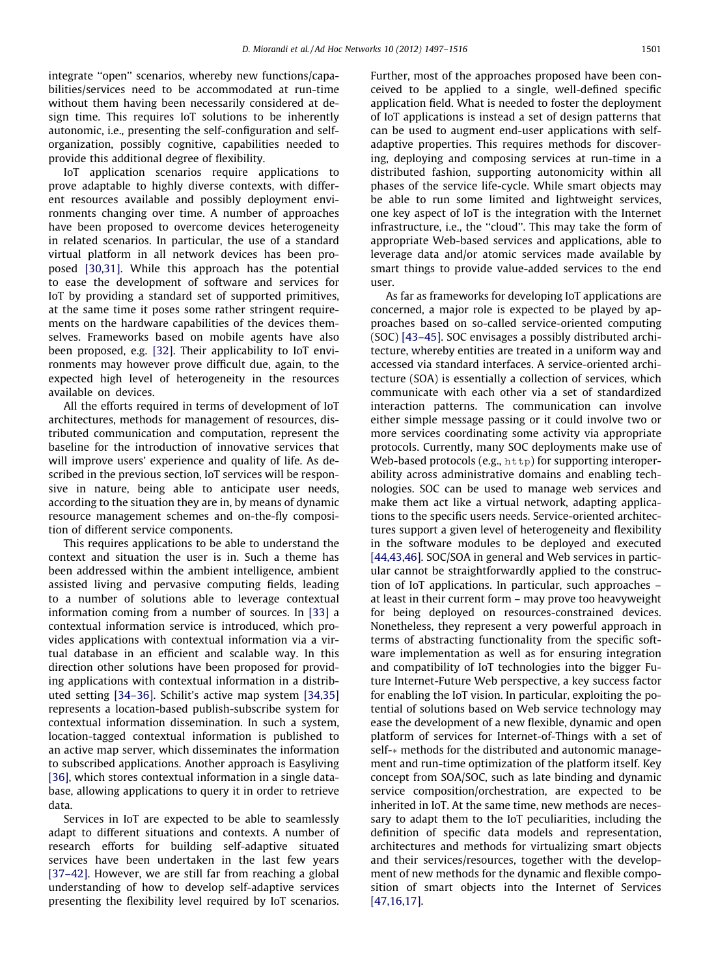integrate ''open'' scenarios, whereby new functions/capabilities/services need to be accommodated at run-time without them having been necessarily considered at design time. This requires IoT solutions to be inherently autonomic, i.e., presenting the self-configuration and selforganization, possibly cognitive, capabilities needed to provide this additional degree of flexibility.

IoT application scenarios require applications to prove adaptable to highly diverse contexts, with different resources available and possibly deployment environments changing over time. A number of approaches have been proposed to overcome devices heterogeneity in related scenarios. In particular, the use of a standard virtual platform in all network devices has been proposed [\[30,31\].](#page-16-0) While this approach has the potential to ease the development of software and services for IoT by providing a standard set of supported primitives, at the same time it poses some rather stringent requirements on the hardware capabilities of the devices themselves. Frameworks based on mobile agents have also been proposed, e.g. [\[32\].](#page-16-0) Their applicability to IoT environments may however prove difficult due, again, to the expected high level of heterogeneity in the resources available on devices.

All the efforts required in terms of development of IoT architectures, methods for management of resources, distributed communication and computation, represent the baseline for the introduction of innovative services that will improve users' experience and quality of life. As described in the previous section, IoT services will be responsive in nature, being able to anticipate user needs, according to the situation they are in, by means of dynamic resource management schemes and on-the-fly composition of different service components.

This requires applications to be able to understand the context and situation the user is in. Such a theme has been addressed within the ambient intelligence, ambient assisted living and pervasive computing fields, leading to a number of solutions able to leverage contextual information coming from a number of sources. In [\[33\]](#page-17-0) a contextual information service is introduced, which provides applications with contextual information via a virtual database in an efficient and scalable way. In this direction other solutions have been proposed for providing applications with contextual information in a distributed setting [\[34–36\].](#page-17-0) Schilit's active map system [\[34,35\]](#page-17-0) represents a location-based publish-subscribe system for contextual information dissemination. In such a system, location-tagged contextual information is published to an active map server, which disseminates the information to subscribed applications. Another approach is Easyliving [\[36\]](#page-17-0), which stores contextual information in a single database, allowing applications to query it in order to retrieve data.

Services in IoT are expected to be able to seamlessly adapt to different situations and contexts. A number of research efforts for building self-adaptive situated services have been undertaken in the last few years [\[37–42\].](#page-17-0) However, we are still far from reaching a global understanding of how to develop self-adaptive services presenting the flexibility level required by IoT scenarios. Further, most of the approaches proposed have been conceived to be applied to a single, well-defined specific application field. What is needed to foster the deployment of IoT applications is instead a set of design patterns that can be used to augment end-user applications with selfadaptive properties. This requires methods for discovering, deploying and composing services at run-time in a distributed fashion, supporting autonomicity within all phases of the service life-cycle. While smart objects may be able to run some limited and lightweight services, one key aspect of IoT is the integration with the Internet infrastructure, i.e., the ''cloud''. This may take the form of appropriate Web-based services and applications, able to leverage data and/or atomic services made available by smart things to provide value-added services to the end user.

As far as frameworks for developing IoT applications are concerned, a major role is expected to be played by approaches based on so-called service-oriented computing (SOC) [\[43–45\]](#page-17-0). SOC envisages a possibly distributed architecture, whereby entities are treated in a uniform way and accessed via standard interfaces. A service-oriented architecture (SOA) is essentially a collection of services, which communicate with each other via a set of standardized interaction patterns. The communication can involve either simple message passing or it could involve two or more services coordinating some activity via appropriate protocols. Currently, many SOC deployments make use of Web-based protocols (e.g.,  $h$ ttp) for supporting interoperability across administrative domains and enabling technologies. SOC can be used to manage web services and make them act like a virtual network, adapting applications to the specific users needs. Service-oriented architectures support a given level of heterogeneity and flexibility in the software modules to be deployed and executed [\[44,43,46\]](#page-17-0). SOC/SOA in general and Web services in particular cannot be straightforwardly applied to the construction of IoT applications. In particular, such approaches – at least in their current form – may prove too heavyweight for being deployed on resources-constrained devices. Nonetheless, they represent a very powerful approach in terms of abstracting functionality from the specific software implementation as well as for ensuring integration and compatibility of IoT technologies into the bigger Future Internet-Future Web perspective, a key success factor for enabling the IoT vision. In particular, exploiting the potential of solutions based on Web service technology may ease the development of a new flexible, dynamic and open platform of services for Internet-of-Things with a set of self-\* methods for the distributed and autonomic management and run-time optimization of the platform itself. Key concept from SOA/SOC, such as late binding and dynamic service composition/orchestration, are expected to be inherited in IoT. At the same time, new methods are necessary to adapt them to the IoT peculiarities, including the definition of specific data models and representation, architectures and methods for virtualizing smart objects and their services/resources, together with the development of new methods for the dynamic and flexible composition of smart objects into the Internet of Services [\[47,16,17\]](#page-17-0).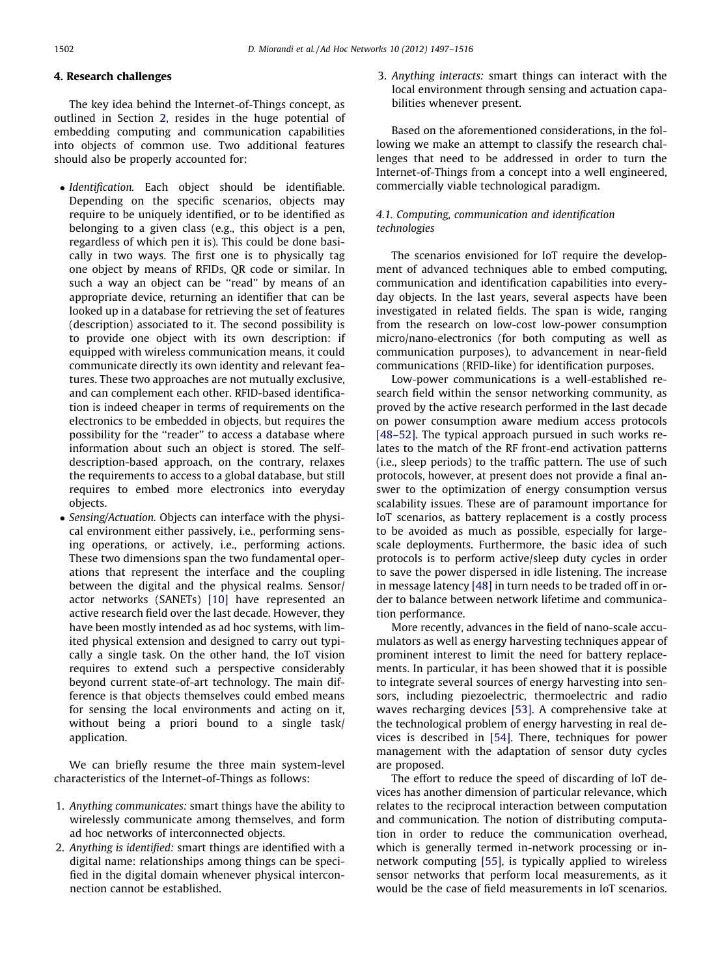#### 4. Research challenges

The key idea behind the Internet-of-Things concept, as outlined in Section 2, resides in the huge potential of embedding computing and communication capabilities into objects of common use. Two additional features should also be properly accounted for:

- Identification. Each object should be identifiable. Depending on the specific scenarios, objects may require to be uniquely identified, or to be identified as belonging to a given class (e.g., this object is a pen, regardless of which pen it is). This could be done basically in two ways. The first one is to physically tag one object by means of RFIDs, QR code or similar. In such a way an object can be ''read'' by means of an appropriate device, returning an identifier that can be looked up in a database for retrieving the set of features (description) associated to it. The second possibility is to provide one object with its own description: if equipped with wireless communication means, it could communicate directly its own identity and relevant features. These two approaches are not mutually exclusive, and can complement each other. RFID-based identification is indeed cheaper in terms of requirements on the electronics to be embedded in objects, but requires the possibility for the ''reader'' to access a database where information about such an object is stored. The selfdescription-based approach, on the contrary, relaxes the requirements to access to a global database, but still requires to embed more electronics into everyday objects.
- Sensing/Actuation. Objects can interface with the physical environment either passively, i.e., performing sensing operations, or actively, i.e., performing actions. These two dimensions span the two fundamental operations that represent the interface and the coupling between the digital and the physical realms. Sensor/ actor networks (SANETs) [\[10\]](#page-16-0) have represented an active research field over the last decade. However, they have been mostly intended as ad hoc systems, with limited physical extension and designed to carry out typically a single task. On the other hand, the IoT vision requires to extend such a perspective considerably beyond current state-of-art technology. The main difference is that objects themselves could embed means for sensing the local environments and acting on it, without being a priori bound to a single task/ application.

We can briefly resume the three main system-level characteristics of the Internet-of-Things as follows:

- 1. Anything communicates: smart things have the ability to wirelessly communicate among themselves, and form ad hoc networks of interconnected objects.
- 2. Anything is identified: smart things are identified with a digital name: relationships among things can be specified in the digital domain whenever physical interconnection cannot be established.

3. Anything interacts: smart things can interact with the local environment through sensing and actuation capabilities whenever present.

Based on the aforementioned considerations, in the following we make an attempt to classify the research challenges that need to be addressed in order to turn the Internet-of-Things from a concept into a well engineered, commercially viable technological paradigm.

#### 4.1. Computing, communication and identification technologies

The scenarios envisioned for IoT require the development of advanced techniques able to embed computing, communication and identification capabilities into everyday objects. In the last years, several aspects have been investigated in related fields. The span is wide, ranging from the research on low-cost low-power consumption micro/nano-electronics (for both computing as well as communication purposes), to advancement in near-field communications (RFID-like) for identification purposes.

Low-power communications is a well-established research field within the sensor networking community, as proved by the active research performed in the last decade on power consumption aware medium access protocols [\[48–52\]](#page-17-0). The typical approach pursued in such works relates to the match of the RF front-end activation patterns (i.e., sleep periods) to the traffic pattern. The use of such protocols, however, at present does not provide a final answer to the optimization of energy consumption versus scalability issues. These are of paramount importance for IoT scenarios, as battery replacement is a costly process to be avoided as much as possible, especially for largescale deployments. Furthermore, the basic idea of such protocols is to perform active/sleep duty cycles in order to save the power dispersed in idle listening. The increase in message latency [\[48\]](#page-17-0) in turn needs to be traded off in order to balance between network lifetime and communication performance.

More recently, advances in the field of nano-scale accumulators as well as energy harvesting techniques appear of prominent interest to limit the need for battery replacements. In particular, it has been showed that it is possible to integrate several sources of energy harvesting into sensors, including piezoelectric, thermoelectric and radio waves recharging devices [\[53\]](#page-17-0). A comprehensive take at the technological problem of energy harvesting in real devices is described in [\[54\]](#page-17-0). There, techniques for power management with the adaptation of sensor duty cycles are proposed.

The effort to reduce the speed of discarding of IoT devices has another dimension of particular relevance, which relates to the reciprocal interaction between computation and communication. The notion of distributing computation in order to reduce the communication overhead, which is generally termed in-network processing or innetwork computing [\[55\],](#page-17-0) is typically applied to wireless sensor networks that perform local measurements, as it would be the case of field measurements in IoT scenarios.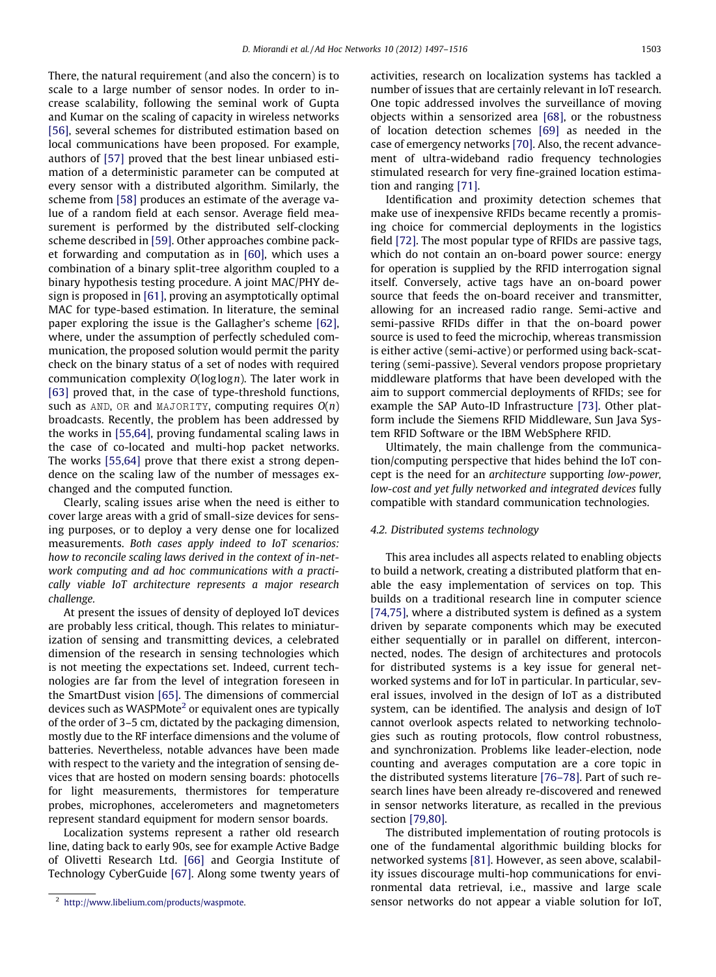There, the natural requirement (and also the concern) is to scale to a large number of sensor nodes. In order to increase scalability, following the seminal work of Gupta and Kumar on the scaling of capacity in wireless networks [\[56\]](#page-17-0), several schemes for distributed estimation based on local communications have been proposed. For example, authors of [\[57\]](#page-17-0) proved that the best linear unbiased estimation of a deterministic parameter can be computed at every sensor with a distributed algorithm. Similarly, the scheme from [\[58\]](#page-17-0) produces an estimate of the average value of a random field at each sensor. Average field measurement is performed by the distributed self-clocking scheme described in [\[59\].](#page-17-0) Other approaches combine packet forwarding and computation as in [\[60\]](#page-17-0), which uses a combination of a binary split-tree algorithm coupled to a binary hypothesis testing procedure. A joint MAC/PHY design is proposed in [\[61\],](#page-17-0) proving an asymptotically optimal MAC for type-based estimation. In literature, the seminal paper exploring the issue is the Gallagher's scheme [\[62\]](#page-17-0), where, under the assumption of perfectly scheduled communication, the proposed solution would permit the parity check on the binary status of a set of nodes with required communication complexity  $O(log log n)$ . The later work in [\[63\]](#page-17-0) proved that, in the case of type-threshold functions, such as AND, OR and MAJORITY, computing requires  $O(n)$ broadcasts. Recently, the problem has been addressed by the works in [\[55,64\],](#page-17-0) proving fundamental scaling laws in the case of co-located and multi-hop packet networks. The works [\[55,64\]](#page-17-0) prove that there exist a strong dependence on the scaling law of the number of messages exchanged and the computed function.

Clearly, scaling issues arise when the need is either to cover large areas with a grid of small-size devices for sensing purposes, or to deploy a very dense one for localized measurements. Both cases apply indeed to IoT scenarios: how to reconcile scaling laws derived in the context of in-network computing and ad hoc communications with a practically viable IoT architecture represents a major research challenge.

At present the issues of density of deployed IoT devices are probably less critical, though. This relates to miniaturization of sensing and transmitting devices, a celebrated dimension of the research in sensing technologies which is not meeting the expectations set. Indeed, current technologies are far from the level of integration foreseen in the SmartDust vision [\[65\].](#page-17-0) The dimensions of commercial devices such as WASPMote<sup>2</sup> or equivalent ones are typically of the order of 3–5 cm, dictated by the packaging dimension, mostly due to the RF interface dimensions and the volume of batteries. Nevertheless, notable advances have been made with respect to the variety and the integration of sensing devices that are hosted on modern sensing boards: photocells for light measurements, thermistores for temperature probes, microphones, accelerometers and magnetometers represent standard equipment for modern sensor boards.

Localization systems represent a rather old research line, dating back to early 90s, see for example Active Badge of Olivetti Research Ltd. [\[66\]](#page-17-0) and Georgia Institute of Technology CyberGuide [\[67\]](#page-17-0). Along some twenty years of activities, research on localization systems has tackled a number of issues that are certainly relevant in IoT research. One topic addressed involves the surveillance of moving objects within a sensorized area [\[68\],](#page-17-0) or the robustness of location detection schemes [\[69\]](#page-17-0) as needed in the case of emergency networks [\[70\]](#page-17-0). Also, the recent advancement of ultra-wideband radio frequency technologies stimulated research for very fine-grained location estimation and ranging [\[71\]](#page-17-0).

Identification and proximity detection schemes that make use of inexpensive RFIDs became recently a promising choice for commercial deployments in the logistics field [\[72\]](#page-17-0). The most popular type of RFIDs are passive tags, which do not contain an on-board power source: energy for operation is supplied by the RFID interrogation signal itself. Conversely, active tags have an on-board power source that feeds the on-board receiver and transmitter, allowing for an increased radio range. Semi-active and semi-passive RFIDs differ in that the on-board power source is used to feed the microchip, whereas transmission is either active (semi-active) or performed using back-scattering (semi-passive). Several vendors propose proprietary middleware platforms that have been developed with the aim to support commercial deployments of RFIDs; see for example the SAP Auto-ID Infrastructure [\[73\].](#page-17-0) Other platform include the Siemens RFID Middleware, Sun Java System RFID Software or the IBM WebSphere RFID.

Ultimately, the main challenge from the communication/computing perspective that hides behind the IoT concept is the need for an architecture supporting low-power, low-cost and yet fully networked and integrated devices fully compatible with standard communication technologies.

#### 4.2. Distributed systems technology

This area includes all aspects related to enabling objects to build a network, creating a distributed platform that enable the easy implementation of services on top. This builds on a traditional research line in computer science [\[74,75\],](#page-17-0) where a distributed system is defined as a system driven by separate components which may be executed either sequentially or in parallel on different, interconnected, nodes. The design of architectures and protocols for distributed systems is a key issue for general networked systems and for IoT in particular. In particular, several issues, involved in the design of IoT as a distributed system, can be identified. The analysis and design of IoT cannot overlook aspects related to networking technologies such as routing protocols, flow control robustness, and synchronization. Problems like leader-election, node counting and averages computation are a core topic in the distributed systems literature [\[76–78\].](#page-17-0) Part of such research lines have been already re-discovered and renewed in sensor networks literature, as recalled in the previous section [\[79,80\]](#page-17-0).

The distributed implementation of routing protocols is one of the fundamental algorithmic building blocks for networked systems [\[81\]](#page-17-0). However, as seen above, scalability issues discourage multi-hop communications for environmental data retrieval, i.e., massive and large scale  $3$  <http://www.libelium.com/products/waspmote>.  $\blacksquare$  2 sensor networks do not appear a viable solution for IoT,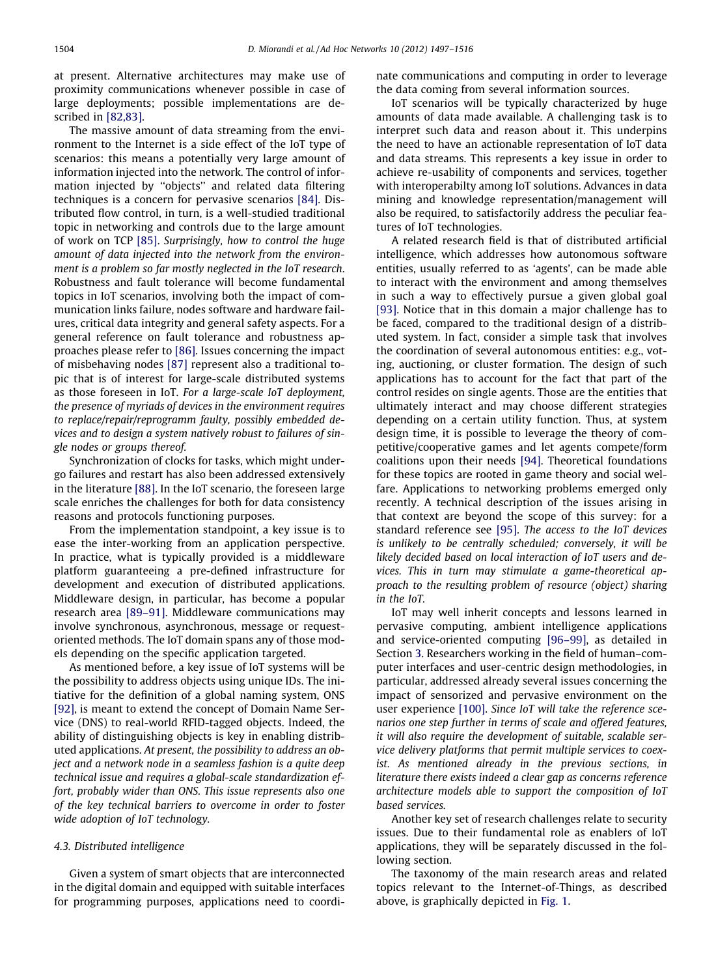at present. Alternative architectures may make use of proximity communications whenever possible in case of large deployments; possible implementations are described in [\[82,83\].](#page-17-0)

The massive amount of data streaming from the environment to the Internet is a side effect of the IoT type of scenarios: this means a potentially very large amount of information injected into the network. The control of information injected by ''objects'' and related data filtering techniques is a concern for pervasive scenarios [\[84\].](#page-17-0) Distributed flow control, in turn, is a well-studied traditional topic in networking and controls due to the large amount of work on TCP [\[85\].](#page-18-0) Surprisingly, how to control the huge amount of data injected into the network from the environment is a problem so far mostly neglected in the IoT research. Robustness and fault tolerance will become fundamental topics in IoT scenarios, involving both the impact of communication links failure, nodes software and hardware failures, critical data integrity and general safety aspects. For a general reference on fault tolerance and robustness approaches please refer to [\[86\].](#page-18-0) Issues concerning the impact of misbehaving nodes [\[87\]](#page-18-0) represent also a traditional topic that is of interest for large-scale distributed systems as those foreseen in IoT. For a large-scale IoT deployment, the presence of myriads of devices in the environment requires to replace/repair/reprogramm faulty, possibly embedded devices and to design a system natively robust to failures of single nodes or groups thereof.

Synchronization of clocks for tasks, which might undergo failures and restart has also been addressed extensively in the literature [\[88\].](#page-18-0) In the IoT scenario, the foreseen large scale enriches the challenges for both for data consistency reasons and protocols functioning purposes.

From the implementation standpoint, a key issue is to ease the inter-working from an application perspective. In practice, what is typically provided is a middleware platform guaranteeing a pre-defined infrastructure for development and execution of distributed applications. Middleware design, in particular, has become a popular research area [\[89–91\].](#page-18-0) Middleware communications may involve synchronous, asynchronous, message or requestoriented methods. The IoT domain spans any of those models depending on the specific application targeted.

As mentioned before, a key issue of IoT systems will be the possibility to address objects using unique IDs. The initiative for the definition of a global naming system, ONS [\[92\],](#page-18-0) is meant to extend the concept of Domain Name Service (DNS) to real-world RFID-tagged objects. Indeed, the ability of distinguishing objects is key in enabling distributed applications. At present, the possibility to address an object and a network node in a seamless fashion is a quite deep technical issue and requires a global-scale standardization effort, probably wider than ONS. This issue represents also one of the key technical barriers to overcome in order to foster wide adoption of IoT technology.

#### 4.3. Distributed intelligence

Given a system of smart objects that are interconnected in the digital domain and equipped with suitable interfaces for programming purposes, applications need to coordinate communications and computing in order to leverage the data coming from several information sources.

IoT scenarios will be typically characterized by huge amounts of data made available. A challenging task is to interpret such data and reason about it. This underpins the need to have an actionable representation of IoT data and data streams. This represents a key issue in order to achieve re-usability of components and services, together with interoperabilty among IoT solutions. Advances in data mining and knowledge representation/management will also be required, to satisfactorily address the peculiar features of IoT technologies.

A related research field is that of distributed artificial intelligence, which addresses how autonomous software entities, usually referred to as 'agents', can be made able to interact with the environment and among themselves in such a way to effectively pursue a given global goal [\[93\].](#page-18-0) Notice that in this domain a major challenge has to be faced, compared to the traditional design of a distributed system. In fact, consider a simple task that involves the coordination of several autonomous entities: e.g., voting, auctioning, or cluster formation. The design of such applications has to account for the fact that part of the control resides on single agents. Those are the entities that ultimately interact and may choose different strategies depending on a certain utility function. Thus, at system design time, it is possible to leverage the theory of competitive/cooperative games and let agents compete/form coalitions upon their needs [\[94\]](#page-18-0). Theoretical foundations for these topics are rooted in game theory and social welfare. Applications to networking problems emerged only recently. A technical description of the issues arising in that context are beyond the scope of this survey: for a standard reference see [\[95\]](#page-18-0). The access to the IoT devices is unlikely to be centrally scheduled; conversely, it will be likely decided based on local interaction of IoT users and devices. This in turn may stimulate a game-theoretical approach to the resulting problem of resource (object) sharing in the IoT.

IoT may well inherit concepts and lessons learned in pervasive computing, ambient intelligence applications and service-oriented computing [\[96–99\],](#page-18-0) as detailed in Section 3. Researchers working in the field of human–computer interfaces and user-centric design methodologies, in particular, addressed already several issues concerning the impact of sensorized and pervasive environment on the user experience [\[100\]](#page-18-0). Since IoT will take the reference scenarios one step further in terms of scale and offered features, it will also require the development of suitable, scalable service delivery platforms that permit multiple services to coexist. As mentioned already in the previous sections, in literature there exists indeed a clear gap as concerns reference architecture models able to support the composition of IoT based services.

Another key set of research challenges relate to security issues. Due to their fundamental role as enablers of IoT applications, they will be separately discussed in the following section.

The taxonomy of the main research areas and related topics relevant to the Internet-of-Things, as described above, is graphically depicted in [Fig. 1.](#page-8-0)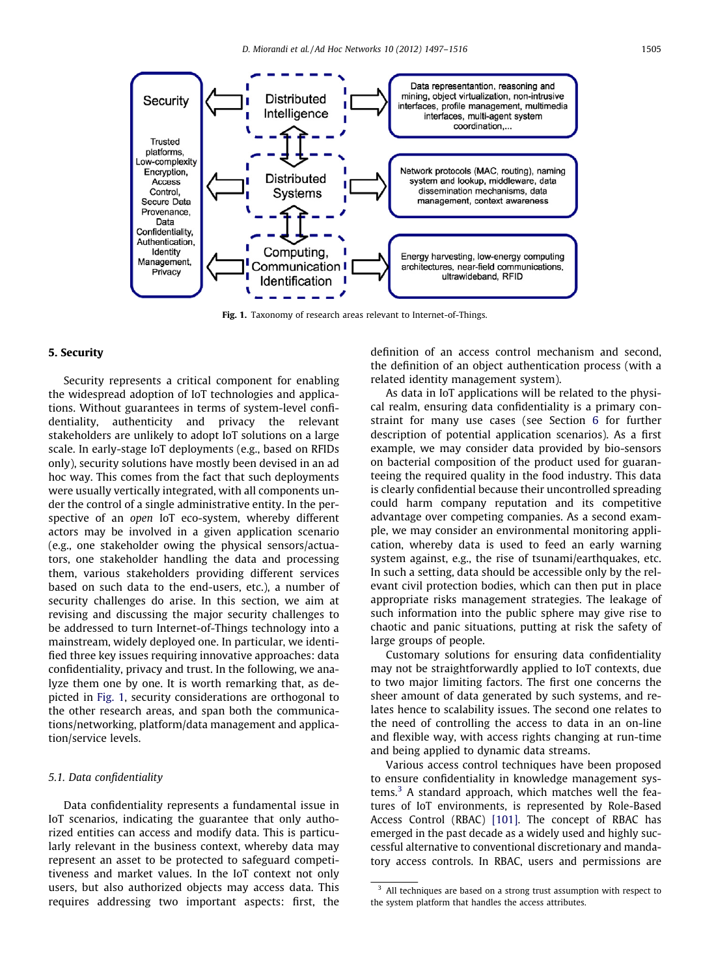<span id="page-8-0"></span>

Fig. 1. Taxonomy of research areas relevant to Internet-of-Things.

#### 5. Security

Security represents a critical component for enabling the widespread adoption of IoT technologies and applications. Without guarantees in terms of system-level confidentiality, authenticity and privacy the relevant stakeholders are unlikely to adopt IoT solutions on a large scale. In early-stage IoT deployments (e.g., based on RFIDs only), security solutions have mostly been devised in an ad hoc way. This comes from the fact that such deployments were usually vertically integrated, with all components under the control of a single administrative entity. In the perspective of an open IoT eco-system, whereby different actors may be involved in a given application scenario (e.g., one stakeholder owing the physical sensors/actuators, one stakeholder handling the data and processing them, various stakeholders providing different services based on such data to the end-users, etc.), a number of security challenges do arise. In this section, we aim at revising and discussing the major security challenges to be addressed to turn Internet-of-Things technology into a mainstream, widely deployed one. In particular, we identified three key issues requiring innovative approaches: data confidentiality, privacy and trust. In the following, we analyze them one by one. It is worth remarking that, as depicted in Fig. 1, security considerations are orthogonal to the other research areas, and span both the communications/networking, platform/data management and application/service levels.

#### 5.1. Data confidentiality

Data confidentiality represents a fundamental issue in IoT scenarios, indicating the guarantee that only authorized entities can access and modify data. This is particularly relevant in the business context, whereby data may represent an asset to be protected to safeguard competitiveness and market values. In the IoT context not only users, but also authorized objects may access data. This requires addressing two important aspects: first, the definition of an access control mechanism and second, the definition of an object authentication process (with a related identity management system).

As data in IoT applications will be related to the physical realm, ensuring data confidentiality is a primary constraint for many use cases (see Section 6 for further description of potential application scenarios). As a first example, we may consider data provided by bio-sensors on bacterial composition of the product used for guaranteeing the required quality in the food industry. This data is clearly confidential because their uncontrolled spreading could harm company reputation and its competitive advantage over competing companies. As a second example, we may consider an environmental monitoring application, whereby data is used to feed an early warning system against, e.g., the rise of tsunami/earthquakes, etc. In such a setting, data should be accessible only by the relevant civil protection bodies, which can then put in place appropriate risks management strategies. The leakage of such information into the public sphere may give rise to chaotic and panic situations, putting at risk the safety of large groups of people.

Customary solutions for ensuring data confidentiality may not be straightforwardly applied to IoT contexts, due to two major limiting factors. The first one concerns the sheer amount of data generated by such systems, and relates hence to scalability issues. The second one relates to the need of controlling the access to data in an on-line and flexible way, with access rights changing at run-time and being applied to dynamic data streams.

Various access control techniques have been proposed to ensure confidentiality in knowledge management systems.<sup>3</sup> A standard approach, which matches well the features of IoT environments, is represented by Role-Based Access Control (RBAC) [\[101\].](#page-18-0) The concept of RBAC has emerged in the past decade as a widely used and highly successful alternative to conventional discretionary and mandatory access controls. In RBAC, users and permissions are

<sup>&</sup>lt;sup>3</sup> All techniques are based on a strong trust assumption with respect to the system platform that handles the access attributes.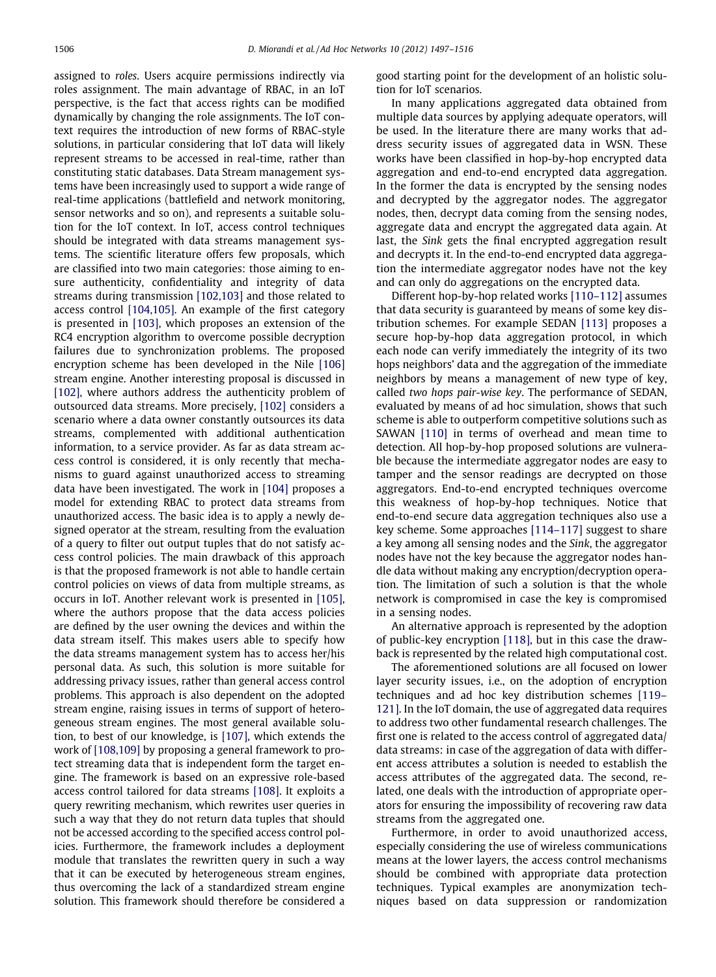assigned to roles. Users acquire permissions indirectly via roles assignment. The main advantage of RBAC, in an IoT perspective, is the fact that access rights can be modified dynamically by changing the role assignments. The IoT context requires the introduction of new forms of RBAC-style solutions, in particular considering that IoT data will likely represent streams to be accessed in real-time, rather than constituting static databases. Data Stream management systems have been increasingly used to support a wide range of real-time applications (battlefield and network monitoring, sensor networks and so on), and represents a suitable solution for the IoT context. In IoT, access control techniques should be integrated with data streams management systems. The scientific literature offers few proposals, which are classified into two main categories: those aiming to ensure authenticity, confidentiality and integrity of data streams during transmission [\[102,103\]](#page-18-0) and those related to access control [\[104,105\].](#page-18-0) An example of the first category is presented in [\[103\],](#page-18-0) which proposes an extension of the RC4 encryption algorithm to overcome possible decryption failures due to synchronization problems. The proposed encryption scheme has been developed in the Nile [\[106\]](#page-18-0) stream engine. Another interesting proposal is discussed in [\[102\],](#page-18-0) where authors address the authenticity problem of outsourced data streams. More precisely, [\[102\]](#page-18-0) considers a scenario where a data owner constantly outsources its data streams, complemented with additional authentication information, to a service provider. As far as data stream access control is considered, it is only recently that mechanisms to guard against unauthorized access to streaming data have been investigated. The work in [\[104\]](#page-18-0) proposes a model for extending RBAC to protect data streams from unauthorized access. The basic idea is to apply a newly designed operator at the stream, resulting from the evaluation of a query to filter out output tuples that do not satisfy access control policies. The main drawback of this approach is that the proposed framework is not able to handle certain control policies on views of data from multiple streams, as occurs in IoT. Another relevant work is presented in [\[105\],](#page-18-0) where the authors propose that the data access policies are defined by the user owning the devices and within the data stream itself. This makes users able to specify how the data streams management system has to access her/his personal data. As such, this solution is more suitable for addressing privacy issues, rather than general access control problems. This approach is also dependent on the adopted stream engine, raising issues in terms of support of heterogeneous stream engines. The most general available solution, to best of our knowledge, is [\[107\]](#page-18-0), which extends the work of [\[108,109\]](#page-18-0) by proposing a general framework to protect streaming data that is independent form the target engine. The framework is based on an expressive role-based access control tailored for data streams [\[108\]](#page-18-0). It exploits a query rewriting mechanism, which rewrites user queries in such a way that they do not return data tuples that should not be accessed according to the specified access control policies. Furthermore, the framework includes a deployment module that translates the rewritten query in such a way that it can be executed by heterogeneous stream engines, thus overcoming the lack of a standardized stream engine solution. This framework should therefore be considered a

good starting point for the development of an holistic solution for IoT scenarios.

In many applications aggregated data obtained from multiple data sources by applying adequate operators, will be used. In the literature there are many works that address security issues of aggregated data in WSN. These works have been classified in hop-by-hop encrypted data aggregation and end-to-end encrypted data aggregation. In the former the data is encrypted by the sensing nodes and decrypted by the aggregator nodes. The aggregator nodes, then, decrypt data coming from the sensing nodes, aggregate data and encrypt the aggregated data again. At last, the Sink gets the final encrypted aggregation result and decrypts it. In the end-to-end encrypted data aggregation the intermediate aggregator nodes have not the key and can only do aggregations on the encrypted data.

Different hop-by-hop related works [\[110–112\]](#page-18-0) assumes that data security is guaranteed by means of some key distribution schemes. For example SEDAN [\[113\]](#page-18-0) proposes a secure hop-by-hop data aggregation protocol, in which each node can verify immediately the integrity of its two hops neighbors' data and the aggregation of the immediate neighbors by means a management of new type of key, called two hops pair-wise key. The performance of SEDAN, evaluated by means of ad hoc simulation, shows that such scheme is able to outperform competitive solutions such as SAWAN [\[110\]](#page-18-0) in terms of overhead and mean time to detection. All hop-by-hop proposed solutions are vulnerable because the intermediate aggregator nodes are easy to tamper and the sensor readings are decrypted on those aggregators. End-to-end encrypted techniques overcome this weakness of hop-by-hop techniques. Notice that end-to-end secure data aggregation techniques also use a key scheme. Some approaches [\[114–117\]](#page-18-0) suggest to share a key among all sensing nodes and the Sink, the aggregator nodes have not the key because the aggregator nodes handle data without making any encryption/decryption operation. The limitation of such a solution is that the whole network is compromised in case the key is compromised in a sensing nodes.

An alternative approach is represented by the adoption of public-key encryption [\[118\]](#page-18-0), but in this case the drawback is represented by the related high computational cost.

The aforementioned solutions are all focused on lower layer security issues, i.e., on the adoption of encryption techniques and ad hoc key distribution schemes [\[119–](#page-18-0) [121\]](#page-18-0). In the IoT domain, the use of aggregated data requires to address two other fundamental research challenges. The first one is related to the access control of aggregated data/ data streams: in case of the aggregation of data with different access attributes a solution is needed to establish the access attributes of the aggregated data. The second, related, one deals with the introduction of appropriate operators for ensuring the impossibility of recovering raw data streams from the aggregated one.

Furthermore, in order to avoid unauthorized access, especially considering the use of wireless communications means at the lower layers, the access control mechanisms should be combined with appropriate data protection techniques. Typical examples are anonymization techniques based on data suppression or randomization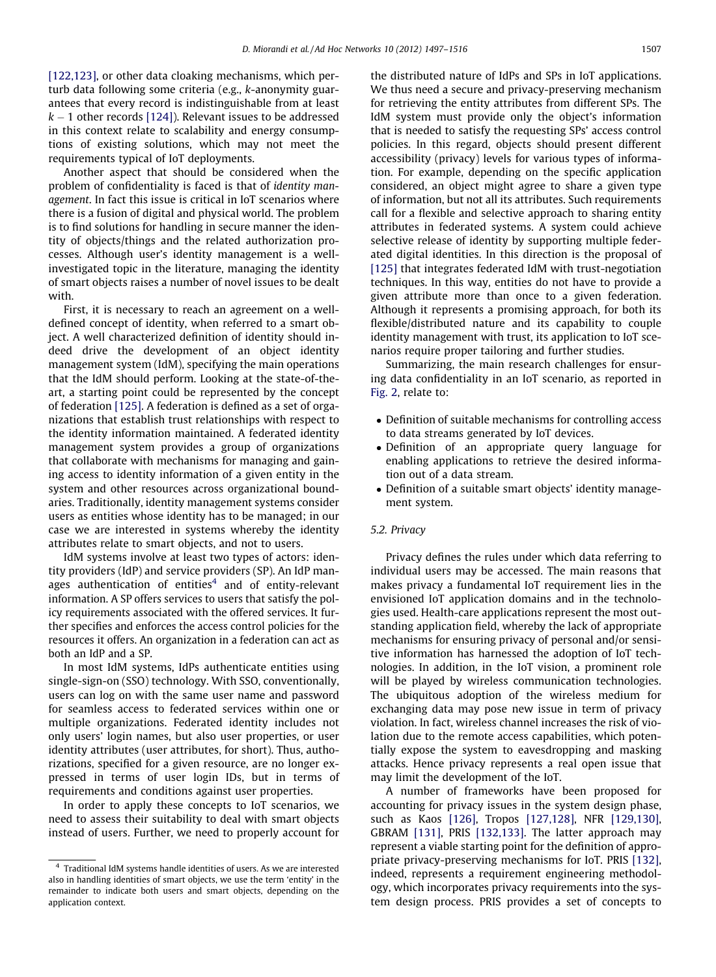[\[122,123\]](#page-18-0), or other data cloaking mechanisms, which perturb data following some criteria (e.g., k-anonymity guarantees that every record is indistinguishable from at least  $k - 1$  other records [\[124\]](#page-18-0)). Relevant issues to be addressed in this context relate to scalability and energy consumptions of existing solutions, which may not meet the requirements typical of IoT deployments.

Another aspect that should be considered when the problem of confidentiality is faced is that of identity management. In fact this issue is critical in IoT scenarios where there is a fusion of digital and physical world. The problem is to find solutions for handling in secure manner the identity of objects/things and the related authorization processes. Although user's identity management is a wellinvestigated topic in the literature, managing the identity of smart objects raises a number of novel issues to be dealt with.

First, it is necessary to reach an agreement on a welldefined concept of identity, when referred to a smart object. A well characterized definition of identity should indeed drive the development of an object identity management system (IdM), specifying the main operations that the IdM should perform. Looking at the state-of-theart, a starting point could be represented by the concept of federation [\[125\]](#page-18-0). A federation is defined as a set of organizations that establish trust relationships with respect to the identity information maintained. A federated identity management system provides a group of organizations that collaborate with mechanisms for managing and gaining access to identity information of a given entity in the system and other resources across organizational boundaries. Traditionally, identity management systems consider users as entities whose identity has to be managed; in our case we are interested in systems whereby the identity attributes relate to smart objects, and not to users.

IdM systems involve at least two types of actors: identity providers (IdP) and service providers (SP). An IdP manages authentication of entities<sup>4</sup> and of entity-relevant information. A SP offers services to users that satisfy the policy requirements associated with the offered services. It further specifies and enforces the access control policies for the resources it offers. An organization in a federation can act as both an IdP and a SP.

In most IdM systems, IdPs authenticate entities using single-sign-on (SSO) technology. With SSO, conventionally, users can log on with the same user name and password for seamless access to federated services within one or multiple organizations. Federated identity includes not only users' login names, but also user properties, or user identity attributes (user attributes, for short). Thus, authorizations, specified for a given resource, are no longer expressed in terms of user login IDs, but in terms of requirements and conditions against user properties.

In order to apply these concepts to IoT scenarios, we need to assess their suitability to deal with smart objects instead of users. Further, we need to properly account for the distributed nature of IdPs and SPs in IoT applications. We thus need a secure and privacy-preserving mechanism for retrieving the entity attributes from different SPs. The IdM system must provide only the object's information that is needed to satisfy the requesting SPs' access control policies. In this regard, objects should present different accessibility (privacy) levels for various types of information. For example, depending on the specific application considered, an object might agree to share a given type of information, but not all its attributes. Such requirements call for a flexible and selective approach to sharing entity attributes in federated systems. A system could achieve selective release of identity by supporting multiple federated digital identities. In this direction is the proposal of [\[125\]](#page-18-0) that integrates federated IdM with trust-negotiation techniques. In this way, entities do not have to provide a given attribute more than once to a given federation. Although it represents a promising approach, for both its flexible/distributed nature and its capability to couple identity management with trust, its application to IoT scenarios require proper tailoring and further studies.

Summarizing, the main research challenges for ensuring data confidentiality in an IoT scenario, as reported in [Fig. 2](#page-11-0), relate to:

- Definition of suitable mechanisms for controlling access to data streams generated by IoT devices.
- Definition of an appropriate query language for enabling applications to retrieve the desired information out of a data stream.
- Definition of a suitable smart objects' identity management system.

#### 5.2. Privacy

Privacy defines the rules under which data referring to individual users may be accessed. The main reasons that makes privacy a fundamental IoT requirement lies in the envisioned IoT application domains and in the technologies used. Health-care applications represent the most outstanding application field, whereby the lack of appropriate mechanisms for ensuring privacy of personal and/or sensitive information has harnessed the adoption of IoT technologies. In addition, in the IoT vision, a prominent role will be played by wireless communication technologies. The ubiquitous adoption of the wireless medium for exchanging data may pose new issue in term of privacy violation. In fact, wireless channel increases the risk of violation due to the remote access capabilities, which potentially expose the system to eavesdropping and masking attacks. Hence privacy represents a real open issue that may limit the development of the IoT.

A number of frameworks have been proposed for accounting for privacy issues in the system design phase, such as Kaos [\[126\],](#page-18-0) Tropos [\[127,128\],](#page-18-0) NFR [\[129,130\]](#page-18-0), GBRAM [\[131\]](#page-18-0), PRIS [\[132,133\]](#page-18-0). The latter approach may represent a viable starting point for the definition of appropriate privacy-preserving mechanisms for IoT. PRIS [\[132\]](#page-18-0), indeed, represents a requirement engineering methodology, which incorporates privacy requirements into the system design process. PRIS provides a set of concepts to

<sup>4</sup> Traditional IdM systems handle identities of users. As we are interested also in handling identities of smart objects, we use the term 'entity' in the remainder to indicate both users and smart objects, depending on the application context.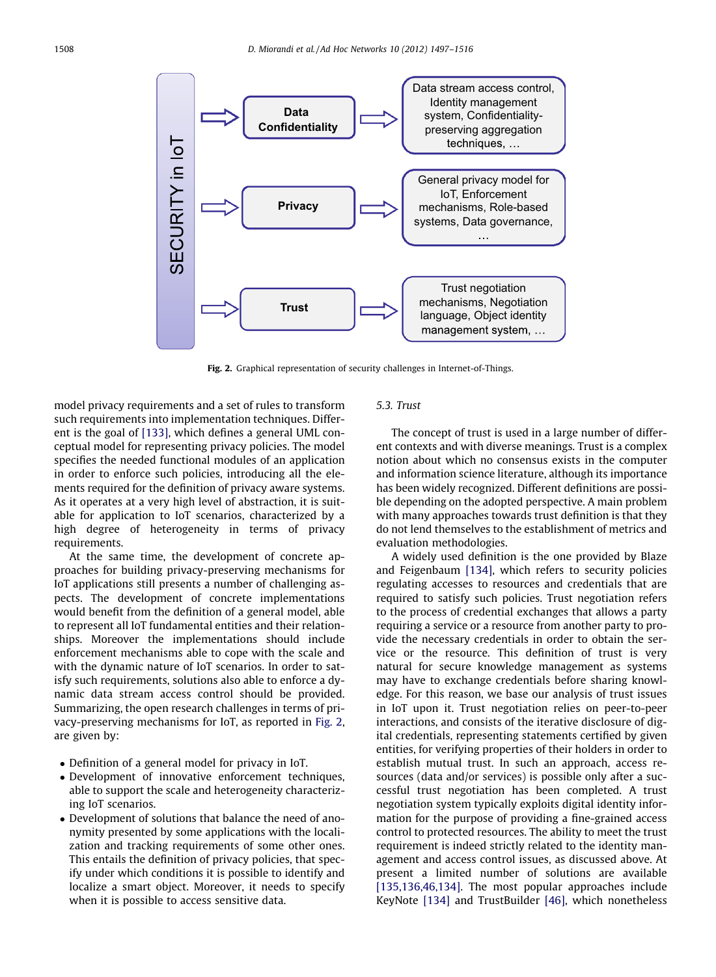<span id="page-11-0"></span>

Fig. 2. Graphical representation of security challenges in Internet-of-Things.

model privacy requirements and a set of rules to transform such requirements into implementation techniques. Different is the goal of [\[133\]](#page-18-0), which defines a general UML conceptual model for representing privacy policies. The model specifies the needed functional modules of an application in order to enforce such policies, introducing all the elements required for the definition of privacy aware systems. As it operates at a very high level of abstraction, it is suitable for application to IoT scenarios, characterized by a high degree of heterogeneity in terms of privacy requirements.

At the same time, the development of concrete approaches for building privacy-preserving mechanisms for IoT applications still presents a number of challenging aspects. The development of concrete implementations would benefit from the definition of a general model, able to represent all IoT fundamental entities and their relationships. Moreover the implementations should include enforcement mechanisms able to cope with the scale and with the dynamic nature of IoT scenarios. In order to satisfy such requirements, solutions also able to enforce a dynamic data stream access control should be provided. Summarizing, the open research challenges in terms of privacy-preserving mechanisms for IoT, as reported in Fig. 2, are given by:

- Definition of a general model for privacy in IoT.
- Development of innovative enforcement techniques, able to support the scale and heterogeneity characterizing IoT scenarios.
- Development of solutions that balance the need of anonymity presented by some applications with the localization and tracking requirements of some other ones. This entails the definition of privacy policies, that specify under which conditions it is possible to identify and localize a smart object. Moreover, it needs to specify when it is possible to access sensitive data.

#### 5.3. Trust

The concept of trust is used in a large number of different contexts and with diverse meanings. Trust is a complex notion about which no consensus exists in the computer and information science literature, although its importance has been widely recognized. Different definitions are possible depending on the adopted perspective. A main problem with many approaches towards trust definition is that they do not lend themselves to the establishment of metrics and evaluation methodologies.

A widely used definition is the one provided by Blaze and Feigenbaum [\[134\]](#page-18-0), which refers to security policies regulating accesses to resources and credentials that are required to satisfy such policies. Trust negotiation refers to the process of credential exchanges that allows a party requiring a service or a resource from another party to provide the necessary credentials in order to obtain the service or the resource. This definition of trust is very natural for secure knowledge management as systems may have to exchange credentials before sharing knowledge. For this reason, we base our analysis of trust issues in IoT upon it. Trust negotiation relies on peer-to-peer interactions, and consists of the iterative disclosure of digital credentials, representing statements certified by given entities, for verifying properties of their holders in order to establish mutual trust. In such an approach, access resources (data and/or services) is possible only after a successful trust negotiation has been completed. A trust negotiation system typically exploits digital identity information for the purpose of providing a fine-grained access control to protected resources. The ability to meet the trust requirement is indeed strictly related to the identity management and access control issues, as discussed above. At present a limited number of solutions are available [\[135,136,46,134\]](#page-18-0). The most popular approaches include KeyNote [\[134\]](#page-18-0) and TrustBuilder [\[46\],](#page-17-0) which nonetheless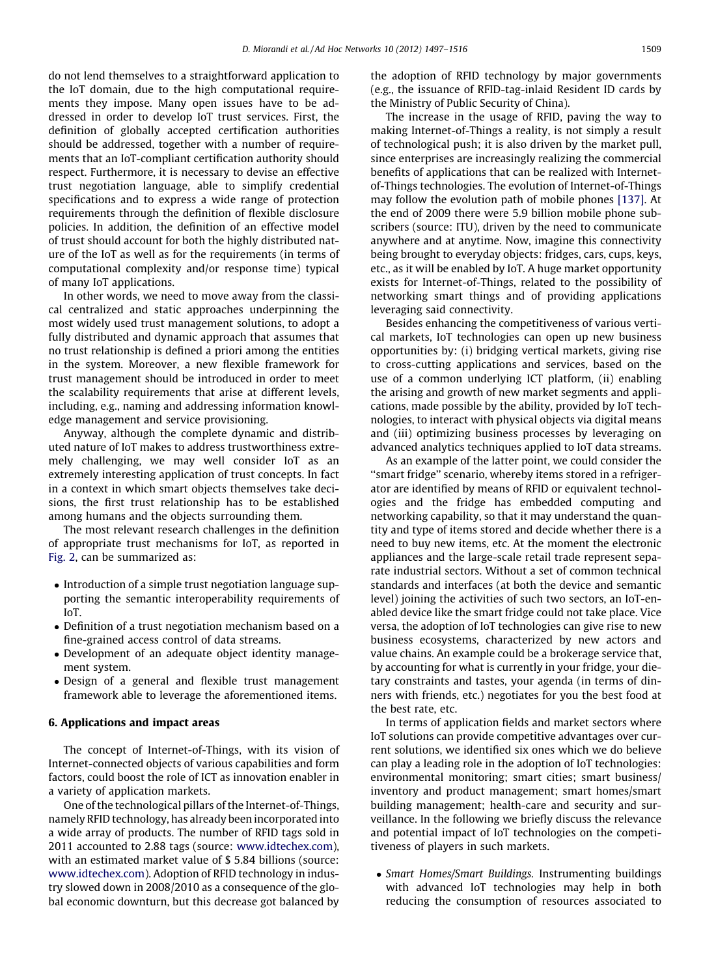do not lend themselves to a straightforward application to the IoT domain, due to the high computational requirements they impose. Many open issues have to be addressed in order to develop IoT trust services. First, the definition of globally accepted certification authorities should be addressed, together with a number of requirements that an IoT-compliant certification authority should respect. Furthermore, it is necessary to devise an effective trust negotiation language, able to simplify credential specifications and to express a wide range of protection requirements through the definition of flexible disclosure policies. In addition, the definition of an effective model of trust should account for both the highly distributed nature of the IoT as well as for the requirements (in terms of computational complexity and/or response time) typical of many IoT applications.

In other words, we need to move away from the classical centralized and static approaches underpinning the most widely used trust management solutions, to adopt a fully distributed and dynamic approach that assumes that no trust relationship is defined a priori among the entities in the system. Moreover, a new flexible framework for trust management should be introduced in order to meet the scalability requirements that arise at different levels, including, e.g., naming and addressing information knowledge management and service provisioning.

Anyway, although the complete dynamic and distributed nature of IoT makes to address trustworthiness extremely challenging, we may well consider IoT as an extremely interesting application of trust concepts. In fact in a context in which smart objects themselves take decisions, the first trust relationship has to be established among humans and the objects surrounding them.

The most relevant research challenges in the definition of appropriate trust mechanisms for IoT, as reported in [Fig. 2](#page-11-0), can be summarized as:

- Introduction of a simple trust negotiation language supporting the semantic interoperability requirements of IoT.
- Definition of a trust negotiation mechanism based on a fine-grained access control of data streams.
- Development of an adequate object identity management system.
- Design of a general and flexible trust management framework able to leverage the aforementioned items.

#### 6. Applications and impact areas

The concept of Internet-of-Things, with its vision of Internet-connected objects of various capabilities and form factors, could boost the role of ICT as innovation enabler in a variety of application markets.

One of the technological pillars of the Internet-of-Things, namely RFID technology, has already been incorporated into a wide array of products. The number of RFID tags sold in 2011 accounted to 2.88 tags (source: [www.idtechex.com](http://www.idtechex.com)), with an estimated market value of \$ 5.84 billions (source: [www.idtechex.com](http://www.idtechex.com)). Adoption of RFID technology in industry slowed down in 2008/2010 as a consequence of the global economic downturn, but this decrease got balanced by the adoption of RFID technology by major governments (e.g., the issuance of RFID-tag-inlaid Resident ID cards by the Ministry of Public Security of China).

The increase in the usage of RFID, paving the way to making Internet-of-Things a reality, is not simply a result of technological push; it is also driven by the market pull, since enterprises are increasingly realizing the commercial benefits of applications that can be realized with Internetof-Things technologies. The evolution of Internet-of-Things may follow the evolution path of mobile phones [\[137\].](#page-19-0) At the end of 2009 there were 5.9 billion mobile phone subscribers (source: ITU), driven by the need to communicate anywhere and at anytime. Now, imagine this connectivity being brought to everyday objects: fridges, cars, cups, keys, etc., as it will be enabled by IoT. A huge market opportunity exists for Internet-of-Things, related to the possibility of networking smart things and of providing applications leveraging said connectivity.

Besides enhancing the competitiveness of various vertical markets, IoT technologies can open up new business opportunities by: (i) bridging vertical markets, giving rise to cross-cutting applications and services, based on the use of a common underlying ICT platform, (ii) enabling the arising and growth of new market segments and applications, made possible by the ability, provided by IoT technologies, to interact with physical objects via digital means and (iii) optimizing business processes by leveraging on advanced analytics techniques applied to IoT data streams.

As an example of the latter point, we could consider the ''smart fridge'' scenario, whereby items stored in a refrigerator are identified by means of RFID or equivalent technologies and the fridge has embedded computing and networking capability, so that it may understand the quantity and type of items stored and decide whether there is a need to buy new items, etc. At the moment the electronic appliances and the large-scale retail trade represent separate industrial sectors. Without a set of common technical standards and interfaces (at both the device and semantic level) joining the activities of such two sectors, an IoT-enabled device like the smart fridge could not take place. Vice versa, the adoption of IoT technologies can give rise to new business ecosystems, characterized by new actors and value chains. An example could be a brokerage service that, by accounting for what is currently in your fridge, your dietary constraints and tastes, your agenda (in terms of dinners with friends, etc.) negotiates for you the best food at the best rate, etc.

In terms of application fields and market sectors where IoT solutions can provide competitive advantages over current solutions, we identified six ones which we do believe can play a leading role in the adoption of IoT technologies: environmental monitoring; smart cities; smart business/ inventory and product management; smart homes/smart building management; health-care and security and surveillance. In the following we briefly discuss the relevance and potential impact of IoT technologies on the competitiveness of players in such markets.

• Smart Homes/Smart Buildings. Instrumenting buildings with advanced IoT technologies may help in both reducing the consumption of resources associated to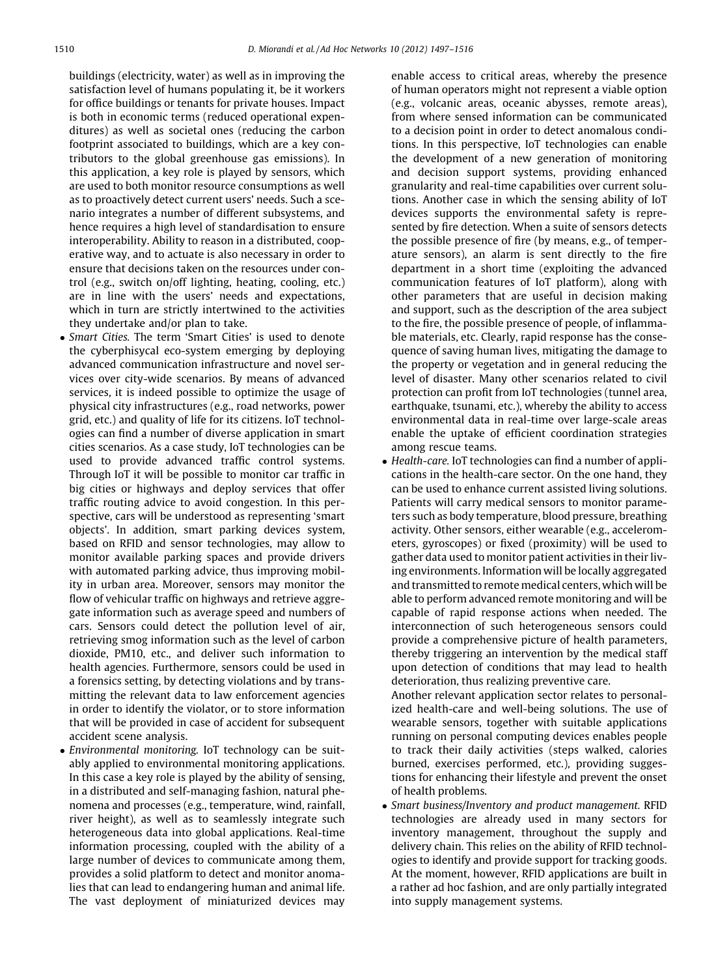buildings (electricity, water) as well as in improving the satisfaction level of humans populating it, be it workers for office buildings or tenants for private houses. Impact is both in economic terms (reduced operational expenditures) as well as societal ones (reducing the carbon footprint associated to buildings, which are a key contributors to the global greenhouse gas emissions). In this application, a key role is played by sensors, which are used to both monitor resource consumptions as well as to proactively detect current users' needs. Such a scenario integrates a number of different subsystems, and hence requires a high level of standardisation to ensure interoperability. Ability to reason in a distributed, cooperative way, and to actuate is also necessary in order to ensure that decisions taken on the resources under control (e.g., switch on/off lighting, heating, cooling, etc.) are in line with the users' needs and expectations, which in turn are strictly intertwined to the activities they undertake and/or plan to take.

- Smart Cities. The term 'Smart Cities' is used to denote the cyberphisycal eco-system emerging by deploying advanced communication infrastructure and novel services over city-wide scenarios. By means of advanced services, it is indeed possible to optimize the usage of physical city infrastructures (e.g., road networks, power grid, etc.) and quality of life for its citizens. IoT technologies can find a number of diverse application in smart cities scenarios. As a case study, IoT technologies can be used to provide advanced traffic control systems. Through IoT it will be possible to monitor car traffic in big cities or highways and deploy services that offer traffic routing advice to avoid congestion. In this perspective, cars will be understood as representing 'smart objects'. In addition, smart parking devices system, based on RFID and sensor technologies, may allow to monitor available parking spaces and provide drivers with automated parking advice, thus improving mobility in urban area. Moreover, sensors may monitor the flow of vehicular traffic on highways and retrieve aggregate information such as average speed and numbers of cars. Sensors could detect the pollution level of air, retrieving smog information such as the level of carbon dioxide, PM10, etc., and deliver such information to health agencies. Furthermore, sensors could be used in a forensics setting, by detecting violations and by transmitting the relevant data to law enforcement agencies in order to identify the violator, or to store information that will be provided in case of accident for subsequent accident scene analysis.
- Environmental monitoring. IoT technology can be suitably applied to environmental monitoring applications. In this case a key role is played by the ability of sensing, in a distributed and self-managing fashion, natural phenomena and processes (e.g., temperature, wind, rainfall, river height), as well as to seamlessly integrate such heterogeneous data into global applications. Real-time information processing, coupled with the ability of a large number of devices to communicate among them, provides a solid platform to detect and monitor anomalies that can lead to endangering human and animal life. The vast deployment of miniaturized devices may

enable access to critical areas, whereby the presence of human operators might not represent a viable option (e.g., volcanic areas, oceanic abysses, remote areas), from where sensed information can be communicated to a decision point in order to detect anomalous conditions. In this perspective, IoT technologies can enable the development of a new generation of monitoring and decision support systems, providing enhanced granularity and real-time capabilities over current solutions. Another case in which the sensing ability of IoT devices supports the environmental safety is represented by fire detection. When a suite of sensors detects the possible presence of fire (by means, e.g., of temperature sensors), an alarm is sent directly to the fire department in a short time (exploiting the advanced communication features of IoT platform), along with other parameters that are useful in decision making and support, such as the description of the area subject to the fire, the possible presence of people, of inflammable materials, etc. Clearly, rapid response has the consequence of saving human lives, mitigating the damage to the property or vegetation and in general reducing the level of disaster. Many other scenarios related to civil protection can profit from IoT technologies (tunnel area, earthquake, tsunami, etc.), whereby the ability to access environmental data in real-time over large-scale areas enable the uptake of efficient coordination strategies among rescue teams.

- Health-care. IoT technologies can find a number of applications in the health-care sector. On the one hand, they can be used to enhance current assisted living solutions. Patients will carry medical sensors to monitor parameters such as body temperature, blood pressure, breathing activity. Other sensors, either wearable (e.g., accelerometers, gyroscopes) or fixed (proximity) will be used to gather data used to monitor patient activities in their living environments. Information will be locally aggregated and transmitted to remote medical centers, which will be able to perform advanced remote monitoring and will be capable of rapid response actions when needed. The interconnection of such heterogeneous sensors could provide a comprehensive picture of health parameters, thereby triggering an intervention by the medical staff upon detection of conditions that may lead to health deterioration, thus realizing preventive care.

Another relevant application sector relates to personalized health-care and well-being solutions. The use of wearable sensors, together with suitable applications running on personal computing devices enables people to track their daily activities (steps walked, calories burned, exercises performed, etc.), providing suggestions for enhancing their lifestyle and prevent the onset of health problems.

- Smart business/Inventory and product management. RFID technologies are already used in many sectors for inventory management, throughout the supply and delivery chain. This relies on the ability of RFID technologies to identify and provide support for tracking goods. At the moment, however, RFID applications are built in a rather ad hoc fashion, and are only partially integrated into supply management systems.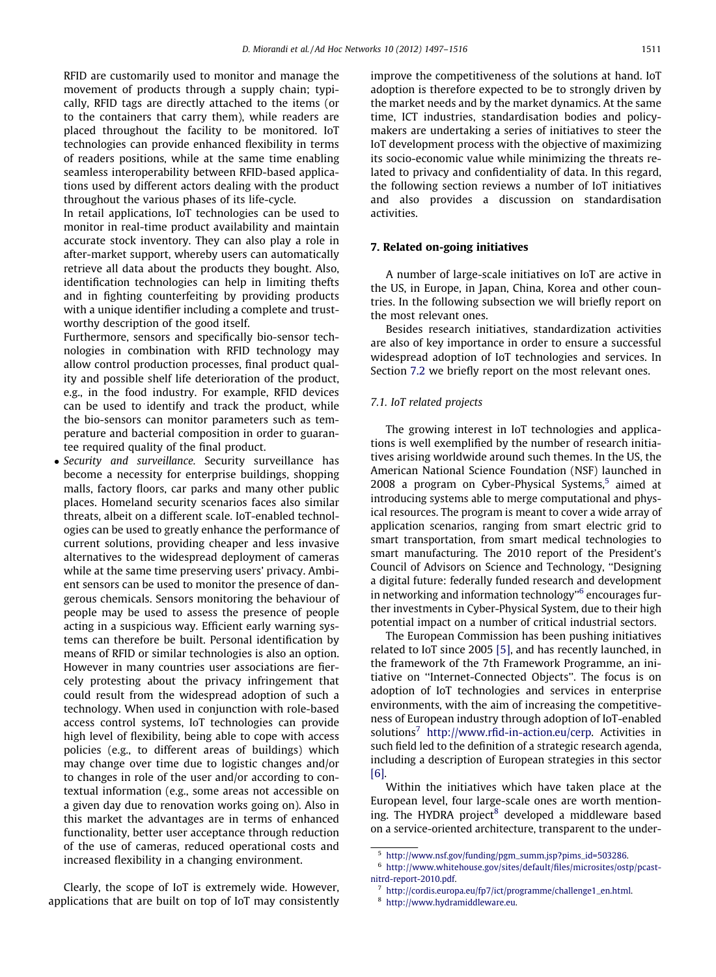RFID are customarily used to monitor and manage the movement of products through a supply chain; typically, RFID tags are directly attached to the items (or to the containers that carry them), while readers are placed throughout the facility to be monitored. IoT technologies can provide enhanced flexibility in terms of readers positions, while at the same time enabling seamless interoperability between RFID-based applications used by different actors dealing with the product throughout the various phases of its life-cycle.

In retail applications, IoT technologies can be used to monitor in real-time product availability and maintain accurate stock inventory. They can also play a role in after-market support, whereby users can automatically retrieve all data about the products they bought. Also, identification technologies can help in limiting thefts and in fighting counterfeiting by providing products with a unique identifier including a complete and trustworthy description of the good itself.

Furthermore, sensors and specifically bio-sensor technologies in combination with RFID technology may allow control production processes, final product quality and possible shelf life deterioration of the product, e.g., in the food industry. For example, RFID devices can be used to identify and track the product, while the bio-sensors can monitor parameters such as temperature and bacterial composition in order to guarantee required quality of the final product.

- Security and surveillance. Security surveillance has become a necessity for enterprise buildings, shopping malls, factory floors, car parks and many other public places. Homeland security scenarios faces also similar threats, albeit on a different scale. IoT-enabled technologies can be used to greatly enhance the performance of current solutions, providing cheaper and less invasive alternatives to the widespread deployment of cameras while at the same time preserving users' privacy. Ambient sensors can be used to monitor the presence of dangerous chemicals. Sensors monitoring the behaviour of people may be used to assess the presence of people acting in a suspicious way. Efficient early warning systems can therefore be built. Personal identification by means of RFID or similar technologies is also an option. However in many countries user associations are fiercely protesting about the privacy infringement that could result from the widespread adoption of such a technology. When used in conjunction with role-based access control systems, IoT technologies can provide high level of flexibility, being able to cope with access policies (e.g., to different areas of buildings) which may change over time due to logistic changes and/or to changes in role of the user and/or according to contextual information (e.g., some areas not accessible on a given day due to renovation works going on). Also in this market the advantages are in terms of enhanced functionality, better user acceptance through reduction of the use of cameras, reduced operational costs and increased flexibility in a changing environment.

Clearly, the scope of IoT is extremely wide. However, applications that are built on top of IoT may consistently improve the competitiveness of the solutions at hand. IoT adoption is therefore expected to be to strongly driven by the market needs and by the market dynamics. At the same time, ICT industries, standardisation bodies and policymakers are undertaking a series of initiatives to steer the IoT development process with the objective of maximizing its socio-economic value while minimizing the threats related to privacy and confidentiality of data. In this regard, the following section reviews a number of IoT initiatives and also provides a discussion on standardisation activities.

#### 7. Related on-going initiatives

A number of large-scale initiatives on IoT are active in the US, in Europe, in Japan, China, Korea and other countries. In the following subsection we will briefly report on the most relevant ones.

Besides research initiatives, standardization activities are also of key importance in order to ensure a successful widespread adoption of IoT technologies and services. In Section 7.2 we briefly report on the most relevant ones.

#### 7.1. IoT related projects

The growing interest in IoT technologies and applications is well exemplified by the number of research initiatives arising worldwide around such themes. In the US, the American National Science Foundation (NSF) launched in 2008 a program on Cyber-Physical Systems, $5$  aimed at introducing systems able to merge computational and physical resources. The program is meant to cover a wide array of application scenarios, ranging from smart electric grid to smart transportation, from smart medical technologies to smart manufacturing. The 2010 report of the President's Council of Advisors on Science and Technology, ''Designing a digital future: federally funded research and development in networking and information technology''6 encourages further investments in Cyber-Physical System, due to their high potential impact on a number of critical industrial sectors.

The European Commission has been pushing initiatives related to IoT since 2005 [\[5\]](#page-16-0), and has recently launched, in the framework of the 7th Framework Programme, an initiative on ''Internet-Connected Objects''. The focus is on adoption of IoT technologies and services in enterprise environments, with the aim of increasing the competitiveness of European industry through adoption of IoT-enabled solutions<sup>7</sup> [http://www.rfid-in-action.eu/cerp.](http://www.rfid-in-action.eu/cerp) Activities in such field led to the definition of a strategic research agenda, including a description of European strategies in this sector [\[6\]](#page-16-0).

Within the initiatives which have taken place at the European level, four large-scale ones are worth mentioning. The HYDRA project<sup>8</sup> developed a middleware based on a service-oriented architecture, transparent to the under-

<sup>5</sup> [http://www.nsf.gov/funding/pgm\\_summ.jsp?pims\\_id=503286.](http://www.nsf.gov/funding/pgm_summ.jsp?pims_id=503286)

<sup>6</sup> [http://www.whitehouse.gov/sites/default/files/microsites/ostp/pcast](http://www.whitehouse.gov/sites/default/files/microsites/ostp/pcast-nitrd-report-2010.pdf)[nitrd-report-2010.pdf.](http://www.whitehouse.gov/sites/default/files/microsites/ostp/pcast-nitrd-report-2010.pdf)

<sup>7</sup> [http://cordis.europa.eu/fp7/ict/programme/challenge1\\_en.html.](http://cordis.europa.eu/fp7/ict/programme/challenge1_en.html)

<sup>8</sup> <http://www.hydramiddleware.eu>.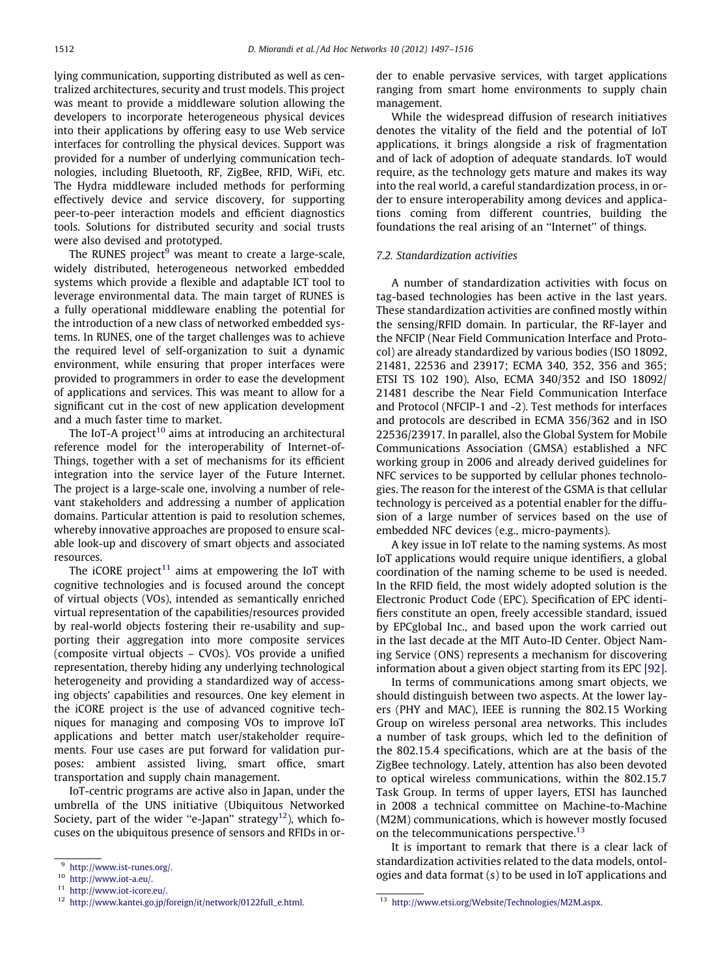lying communication, supporting distributed as well as centralized architectures, security and trust models. This project was meant to provide a middleware solution allowing the developers to incorporate heterogeneous physical devices into their applications by offering easy to use Web service interfaces for controlling the physical devices. Support was provided for a number of underlying communication technologies, including Bluetooth, RF, ZigBee, RFID, WiFi, etc. The Hydra middleware included methods for performing effectively device and service discovery, for supporting peer-to-peer interaction models and efficient diagnostics tools. Solutions for distributed security and social trusts were also devised and prototyped.

The RUNES project<sup>9</sup> was meant to create a large-scale, widely distributed, heterogeneous networked embedded systems which provide a flexible and adaptable ICT tool to leverage environmental data. The main target of RUNES is a fully operational middleware enabling the potential for the introduction of a new class of networked embedded systems. In RUNES, one of the target challenges was to achieve the required level of self-organization to suit a dynamic environment, while ensuring that proper interfaces were provided to programmers in order to ease the development of applications and services. This was meant to allow for a significant cut in the cost of new application development and a much faster time to market.

The IoT-A project<sup>10</sup> aims at introducing an architectural reference model for the interoperability of Internet-of-Things, together with a set of mechanisms for its efficient integration into the service layer of the Future Internet. The project is a large-scale one, involving a number of relevant stakeholders and addressing a number of application domains. Particular attention is paid to resolution schemes, whereby innovative approaches are proposed to ensure scalable look-up and discovery of smart objects and associated resources.

The iCORE project<sup>11</sup> aims at empowering the IoT with cognitive technologies and is focused around the concept of virtual objects (VOs), intended as semantically enriched virtual representation of the capabilities/resources provided by real-world objects fostering their re-usability and supporting their aggregation into more composite services (composite virtual objects – CVOs). VOs provide a unified representation, thereby hiding any underlying technological heterogeneity and providing a standardized way of accessing objects' capabilities and resources. One key element in the iCORE project is the use of advanced cognitive techniques for managing and composing VOs to improve IoT applications and better match user/stakeholder requirements. Four use cases are put forward for validation purposes: ambient assisted living, smart office, smart transportation and supply chain management.

IoT-centric programs are active also in Japan, under the umbrella of the UNS initiative (Ubiquitous Networked Society, part of the wider "e-Japan" strategy<sup>12</sup>), which focuses on the ubiquitous presence of sensors and RFIDs in or-

der to enable pervasive services, with target applications ranging from smart home environments to supply chain management.

While the widespread diffusion of research initiatives denotes the vitality of the field and the potential of IoT applications, it brings alongside a risk of fragmentation and of lack of adoption of adequate standards. IoT would require, as the technology gets mature and makes its way into the real world, a careful standardization process, in order to ensure interoperability among devices and applications coming from different countries, building the foundations the real arising of an ''Internet'' of things.

#### 7.2. Standardization activities

A number of standardization activities with focus on tag-based technologies has been active in the last years. These standardization activities are confined mostly within the sensing/RFID domain. In particular, the RF-layer and the NFCIP (Near Field Communication Interface and Protocol) are already standardized by various bodies (ISO 18092, 21481, 22536 and 23917; ECMA 340, 352, 356 and 365; ETSI TS 102 190). Also, ECMA 340/352 and ISO 18092/ 21481 describe the Near Field Communication Interface and Protocol (NFCIP-1 and -2). Test methods for interfaces and protocols are described in ECMA 356/362 and in ISO 22536/23917. In parallel, also the Global System for Mobile Communications Association (GMSA) established a NFC working group in 2006 and already derived guidelines for NFC services to be supported by cellular phones technologies. The reason for the interest of the GSMA is that cellular technology is perceived as a potential enabler for the diffusion of a large number of services based on the use of embedded NFC devices (e.g., micro-payments).

A key issue in IoT relate to the naming systems. As most IoT applications would require unique identifiers, a global coordination of the naming scheme to be used is needed. In the RFID field, the most widely adopted solution is the Electronic Product Code (EPC). Specification of EPC identifiers constitute an open, freely accessible standard, issued by EPCglobal Inc., and based upon the work carried out in the last decade at the MIT Auto-ID Center. Object Naming Service (ONS) represents a mechanism for discovering information about a given object starting from its EPC [\[92\]](#page-18-0).

In terms of communications among smart objects, we should distinguish between two aspects. At the lower layers (PHY and MAC), IEEE is running the 802.15 Working Group on wireless personal area networks. This includes a number of task groups, which led to the definition of the 802.15.4 specifications, which are at the basis of the ZigBee technology. Lately, attention has also been devoted to optical wireless communications, within the 802.15.7 Task Group. In terms of upper layers, ETSI has launched in 2008 a technical committee on Machine-to-Machine (M2M) communications, which is however mostly focused on the telecommunications perspective.<sup>13</sup>

It is important to remark that there is a clear lack of standardization activities related to the data models, ontologies and data format (s) to be used in IoT applications and

<sup>9</sup> [http://www.ist-runes.org/.](http://www.ist-runes.org/)

<sup>10</sup> [http://www.iot-a.eu/.](http://www.iot-a.eu/)

<sup>11</sup> <http://www.iot-icore.eu/>.

<sup>&</sup>lt;sup>12</sup> [http://www.kantei.go.jp/foreign/it/network/0122full\\_e.html](http://www.kantei.go.jp/foreign/it/network/0122full_e.html). <sup>13</sup> [http://www.etsi.org/Website/Technologies/M2M.aspx.](http://www.etsi.org/Website/Technologies/M2M.aspx)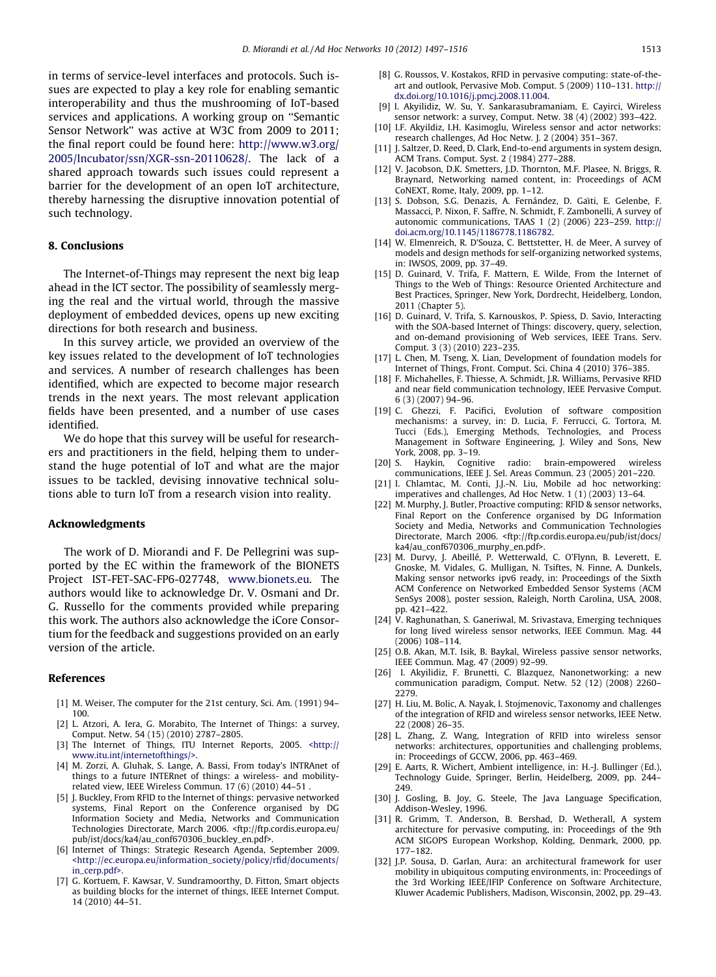<span id="page-16-0"></span>in terms of service-level interfaces and protocols. Such issues are expected to play a key role for enabling semantic interoperability and thus the mushrooming of IoT-based services and applications. A working group on ''Semantic Sensor Network'' was active at W3C from 2009 to 2011; the final report could be found here: [http://www.w3.org/](http://www.w3.org/2005/Incubator/ssn/XGR-ssn-20110628/) [2005/Incubator/ssn/XGR-ssn-20110628/.](http://www.w3.org/2005/Incubator/ssn/XGR-ssn-20110628/) The lack of a shared approach towards such issues could represent a barrier for the development of an open IoT architecture, thereby harnessing the disruptive innovation potential of such technology.

#### 8. Conclusions

The Internet-of-Things may represent the next big leap ahead in the ICT sector. The possibility of seamlessly merging the real and the virtual world, through the massive deployment of embedded devices, opens up new exciting directions for both research and business.

In this survey article, we provided an overview of the key issues related to the development of IoT technologies and services. A number of research challenges has been identified, which are expected to become major research trends in the next years. The most relevant application fields have been presented, and a number of use cases identified.

We do hope that this survey will be useful for researchers and practitioners in the field, helping them to understand the huge potential of IoT and what are the major issues to be tackled, devising innovative technical solutions able to turn IoT from a research vision into reality.

#### Acknowledgments

The work of D. Miorandi and F. De Pellegrini was supported by the EC within the framework of the BIONETS Project IST-FET-SAC-FP6-027748, [www.bionets.eu](http://www.bionets.eu). The authors would like to acknowledge Dr. V. Osmani and Dr. G. Russello for the comments provided while preparing this work. The authors also acknowledge the iCore Consortium for the feedback and suggestions provided on an early version of the article.

#### References

- [1] M. Weiser, The computer for the 21st century, Sci. Am. (1991) 94– 100.
- [2] L. Atzori, A. Iera, G. Morabito, The Internet of Things: a survey, Comput. Netw. 54 (15) (2010) 2787–2805.
- [3] The Internet of Things, ITU Internet Reports, 2005. [<http://](http://www.itu.int/internetofthings/) [www.itu.int/internetofthings/>.](http://www.itu.int/internetofthings/)
- [4] M. Zorzi, A. Gluhak, S. Lange, A. Bassi, From today's INTRAnet of things to a future INTERnet of things: a wireless- and mobilityrelated view, IEEE Wireless Commun. 17 (6) (2010) 44–51 .
- [5] J. Buckley, From RFID to the Internet of things: pervasive networked systems, Final Report on the Conference organised by DG Information Society and Media, Networks and Communication Technologies Directorate, March 2006. <ftp://ftp.cordis.europa.eu/ pub/ist/docs/ka4/au\_conf670306\_buckley\_en.pdf>.
- [6] Internet of Things: Strategic Research Agenda, September 2009. [<http://ec.europa.eu/information\\_society/policy/rfid/documents/](http://ec.europa.eu/information_society/policy/rfid/documents/in_cerp.pdf) [in\\_cerp.pdf>](http://ec.europa.eu/information_society/policy/rfid/documents/in_cerp.pdf).
- [7] G. Kortuem, F. Kawsar, V. Sundramoorthy, D. Fitton, Smart objects as building blocks for the internet of things, IEEE Internet Comput. 14 (2010) 44–51.
- [8] G. Roussos, V. Kostakos, RFID in pervasive computing: state-of-theart and outlook, Pervasive Mob. Comput. 5 (2009) 110–131. [http://](http://dx.doi.org/10.1016/j.pmcj.2008.11.004) [dx.doi.org/10.1016/j.pmcj.2008.11.004](http://dx.doi.org/10.1016/j.pmcj.2008.11.004).
- [9] I. Akyilidiz, W. Su, Y. Sankarasubramaniam, E. Cayirci, Wireless sensor network: a survey, Comput. Netw. 38 (4) (2002) 393–422.
- [10] I.F. Akvildiz, I.H. Kasimoglu, Wireless sensor and actor networks: research challenges, Ad Hoc Netw. J. 2 (2004) 351–367.
- [11] J. Saltzer, D. Reed, D. Clark, End-to-end arguments in system design, ACM Trans. Comput. Syst. 2 (1984) 277–288.
- [12] V. Jacobson, D.K. Smetters, J.D. Thornton, M.F. Plasee, N. Briggs, R. Braynard, Networking named content, in: Proceedings of ACM CoNEXT, Rome, Italy, 2009, pp. 1–12.
- [13] S. Dobson, S.G. Denazis, A. Fernández, D. Gaiti, E. Gelenbe, F. Massacci, P. Nixon, F. Saffre, N. Schmidt, F. Zambonelli, A survey of autonomic communications, TAAS 1 (2) (2006) 223–259. [http://](http://doi.acm.org/10.1145/1186778.1186782) [doi.acm.org/10.1145/1186778.1186782.](http://doi.acm.org/10.1145/1186778.1186782)
- [14] W. Elmenreich, R. D'Souza, C. Bettstetter, H. de Meer, A survey of models and design methods for self-organizing networked systems, in: IWSOS, 2009, pp. 37–49.
- [15] D. Guinard, V. Trifa, F. Mattern, E. Wilde, From the Internet of Things to the Web of Things: Resource Oriented Architecture and Best Practices, Springer, New York, Dordrecht, Heidelberg, London, 2011 (Chapter 5).
- [16] D. Guinard, V. Trifa, S. Karnouskos, P. Spiess, D. Savio, Interacting with the SOA-based Internet of Things: discovery, query, selection, and on-demand provisioning of Web services, IEEE Trans. Serv. Comput. 3 (3) (2010) 223–235.
- [17] L. Chen, M. Tseng, X. Lian, Development of foundation models for Internet of Things, Front. Comput. Sci. China 4 (2010) 376–385.
- [18] F. Michahelles, F. Thiesse, A. Schmidt, J.R. Williams, Pervasive RFID and near field communication technology, IEEE Pervasive Comput. 6 (3) (2007) 94–96.
- [19] C. Ghezzi, F. Pacifici, Evolution of software composition mechanisms: a survey, in: D. Lucia, F. Ferrucci, G. Tortora, M. Tucci (Eds.), Emerging Methods, Technologies, and Process Management in Software Engineering, J. Wiley and Sons, New York, 2008, pp. 3-19.<br>[20] S. Haykin. Cogni
- Cognitive radio: brain-empowered wireless communications, IEEE J. Sel. Areas Commun. 23 (2005) 201–220.
- [21] I. Chlamtac, M. Conti, J.J.-N. Liu, Mobile ad hoc networking: imperatives and challenges, Ad Hoc Netw. 1 (1) (2003) 13–64.
- [22] M. Murphy, J. Butler, Proactive computing: RFID & sensor networks, Final Report on the Conference organised by DG Information Society and Media, Networks and Communication Technologies Directorate, March 2006. <ftp://ftp.cordis.europa.eu/pub/ist/docs/ ka4/au\_conf670306\_murphy\_en.pdf>.
- [23] M. Durvy, J. Abeillé, P. Wetterwald, C. O'Flynn, B. Leverett, E. Gnoske, M. Vidales, G. Mulligan, N. Tsiftes, N. Finne, A. Dunkels, Making sensor networks ipv6 ready, in: Proceedings of the Sixth ACM Conference on Networked Embedded Sensor Systems (ACM SenSys 2008), poster session, Raleigh, North Carolina, USA, 2008, pp. 421–422.
- [24] V. Raghunathan, S. Ganeriwal, M. Srivastava, Emerging techniques for long lived wireless sensor networks, IEEE Commun. Mag. 44 (2006) 108–114.
- [25] O.B. Akan, M.T. Isik, B. Baykal, Wireless passive sensor networks, IEEE Commun. Mag. 47 (2009) 92–99.
- [26] I. Akyilidiz, F. Brunetti, C. Blazquez, Nanonetworking: a new communication paradigm, Comput. Netw. 52 (12) (2008) 2260– 2279.
- [27] H. Liu, M. Bolic, A. Nayak, I. Stojmenovic, Taxonomy and challenges of the integration of RFID and wireless sensor networks, IEEE Netw. 22 (2008) 26–35.
- [28] L. Zhang, Z. Wang, Integration of RFID into wireless sensor networks: architectures, opportunities and challenging problems, in: Proceedings of GCCW, 2006, pp. 463–469.
- [29] E. Aarts, R. Wichert, Ambient intelligence, in: H.-J. Bullinger (Ed.), Technology Guide, Springer, Berlin, Heidelberg, 2009, pp. 244– 249.
- [30] J. Gosling, B. Joy, G. Steele, The Java Language Specification, Addison-Wesley, 1996.
- [31] R. Grimm, T. Anderson, B. Bershad, D. Wetherall, A system architecture for pervasive computing, in: Proceedings of the 9th ACM SIGOPS European Workshop, Kolding, Denmark, 2000, pp. 177–182.
- [32] J.P. Sousa, D. Garlan, Aura: an architectural framework for user mobility in ubiquitous computing environments, in: Proceedings of the 3rd Working IEEE/IFIP Conference on Software Architecture, Kluwer Academic Publishers, Madison, Wisconsin, 2002, pp. 29–43.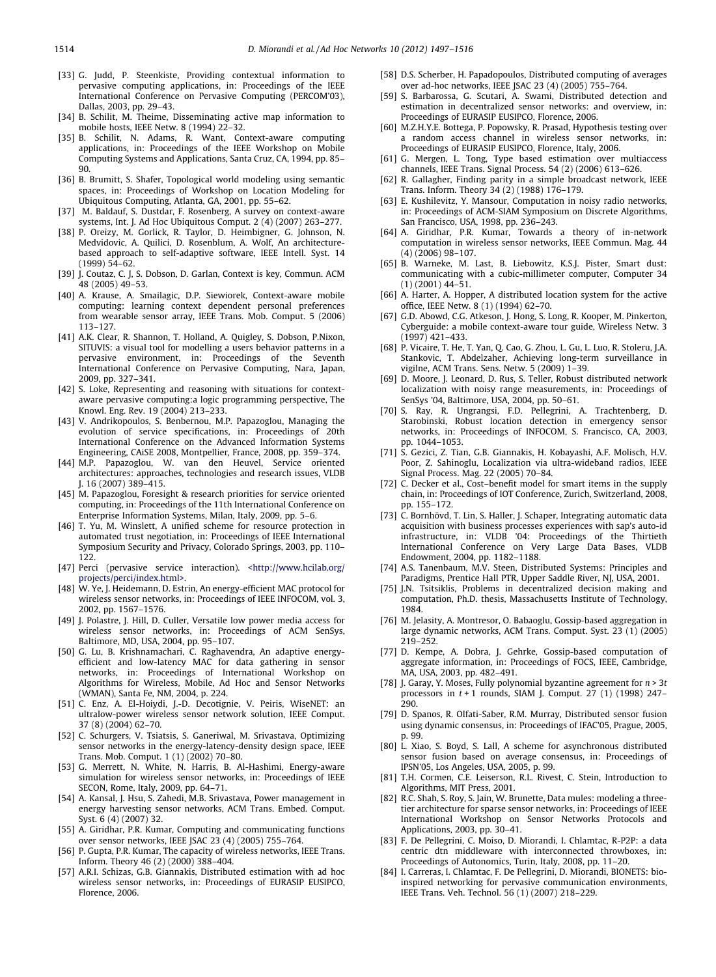- <span id="page-17-0"></span>[33] G. Judd, P. Steenkiste, Providing contextual information to pervasive computing applications, in: Proceedings of the IEEE International Conference on Pervasive Computing (PERCOM'03), Dallas, 2003, pp. 29–43.
- [34] B. Schilit, M. Theime, Disseminating active map information to mobile hosts, IEEE Netw. 8 (1994) 22–32.
- [35] B. Schilit, N. Adams, R. Want, Context-aware computing applications, in: Proceedings of the IEEE Workshop on Mobile Computing Systems and Applications, Santa Cruz, CA, 1994, pp. 85– 90.
- [36] B. Brumitt, S. Shafer, Topological world modeling using semantic spaces, in: Proceedings of Workshop on Location Modeling for Ubiquitous Computing, Atlanta, GA, 2001, pp. 55–62.
- [37] M. Baldauf, S. Dustdar, F. Rosenberg, A survey on context-aware systems, Int. J. Ad Hoc Ubiquitous Comput. 2 (4) (2007) 263–277.
- [38] P. Oreizy, M. Gorlick, R. Taylor, D. Heimbigner, G. Johnson, N. Medvidovic, A. Quilici, D. Rosenblum, A. Wolf, An architecturebased approach to self-adaptive software, IEEE Intell. Syst. 14 (1999) 54–62.
- [39] J. Coutaz, C. J. S. Dobson, D. Garlan, Context is key, Commun. ACM 48 (2005) 49–53.
- [40] A. Krause, A. Smailagic, D.P. Siewiorek, Context-aware mobile computing: learning context dependent personal preferences from wearable sensor array, IEEE Trans. Mob. Comput. 5 (2006) 113–127.
- [41] A.K. Clear, R. Shannon, T. Holland, A. Quigley, S. Dobson, P.Nixon, SITUVIS: a visual tool for modelling a users behavior patterns in a pervasive environment, in: Proceedings of the Seventh International Conference on Pervasive Computing, Nara, Japan, 2009, pp. 327–341.
- [42] S. Loke, Representing and reasoning with situations for contextaware pervasive computing:a logic programming perspective, The Knowl. Eng. Rev. 19 (2004) 213–233.
- [43] V. Andrikopoulos, S. Benbernou, M.P. Papazoglou, Managing the evolution of service specifications, in: Proceedings of 20th International Conference on the Advanced Information Systems Engineering, CAiSE 2008, Montpellier, France, 2008, pp. 359–374.
- [44] M.P. Papazoglou, W. van den Heuvel, Service oriented architectures: approaches, technologies and research issues, VLDB J. 16 (2007) 389–415.
- [45] M. Papazoglou, Foresight & research priorities for service oriented computing, in: Proceedings of the 11th International Conference on Enterprise Information Systems, Milan, Italy, 2009, pp. 5–6.
- [46] T. Yu, M. Winslett, A unified scheme for resource protection in automated trust negotiation, in: Proceedings of IEEE International Symposium Security and Privacy, Colorado Springs, 2003, pp. 110– 122.
- [47] Perci (pervasive service interaction). [<http://www.hcilab.org/](http://www.hcilab.org/projects/perci/index.html) [projects/perci/index.html>](http://www.hcilab.org/projects/perci/index.html).
- [48] W. Ye, J. Heidemann, D. Estrin, An energy-efficient MAC protocol for wireless sensor networks, in: Proceedings of IEEE INFOCOM, vol. 3, 2002, pp. 1567–1576.
- [49] J. Polastre, J. Hill, D. Culler, Versatile low power media access for wireless sensor networks, in: Proceedings of ACM SenSys, Baltimore, MD, USA, 2004, pp. 95–107.
- [50] G. Lu, B. Krishnamachari, C. Raghavendra, An adaptive energyefficient and low-latency MAC for data gathering in sensor networks, in: Proceedings of International Workshop on Algorithms for Wireless, Mobile, Ad Hoc and Sensor Networks (WMAN), Santa Fe, NM, 2004, p. 224.
- [51] C. Enz, A. El-Hoiydi, J.-D. Decotignie, V. Peiris, WiseNET: an ultralow-power wireless sensor network solution, IEEE Comput. 37 (8) (2004) 62–70.
- [52] C. Schurgers, V. Tsiatsis, S. Ganeriwal, M. Srivastava, Optimizing sensor networks in the energy-latency-density design space, IEEE Trans. Mob. Comput. 1 (1) (2002) 70–80.
- [53] G. Merrett, N. White, N. Harris, B. Al-Hashimi, Energy-aware simulation for wireless sensor networks, in: Proceedings of IEEE SECON, Rome, Italy, 2009, pp. 64–71.
- [54] A. Kansal, J. Hsu, S. Zahedi, M.B. Srivastava, Power management in energy harvesting sensor networks, ACM Trans. Embed. Comput. Syst. 6 (4) (2007) 32.
- [55] A. Giridhar, P.R. Kumar, Computing and communicating functions over sensor networks, IEEE JSAC 23 (4) (2005) 755–764.
- [56] P. Gupta, P.R. Kumar, The capacity of wireless networks, IEEE Trans. Inform. Theory 46 (2) (2000) 388–404.
- [57] A.R.I. Schizas, G.B. Giannakis, Distributed estimation with ad hoc wireless sensor networks, in: Proceedings of EURASIP EUSIPCO, Florence, 2006.
- [58] D.S. Scherber, H. Papadopoulos, Distributed computing of averages over ad-hoc networks, IEEE JSAC 23 (4) (2005) 755–764.
- [59] S. Barbarossa, G. Scutari, A. Swami, Distributed detection and estimation in decentralized sensor networks: and overview, in: Proceedings of EURASIP EUSIPCO, Florence, 2006.
- [60] M.Z.H.Y.E. Bottega, P. Popowsky, R. Prasad, Hypothesis testing over a random access channel in wireless sensor networks, in: Proceedings of EURASIP EUSIPCO, Florence, Italy, 2006.
- [61] G. Mergen, L. Tong, Type based estimation over multiaccess channels, IEEE Trans. Signal Process. 54 (2) (2006) 613–626.
- [62] R. Gallagher, Finding parity in a simple broadcast network, IEEE Trans. Inform. Theory 34 (2) (1988) 176–179.
- [63] E. Kushilevitz, Y. Mansour, Computation in noisy radio networks, in: Proceedings of ACM-SIAM Symposium on Discrete Algorithms, San Francisco, USA, 1998, pp. 236–243.
- [64] A. Giridhar, P.R. Kumar, Towards a theory of in-network computation in wireless sensor networks, IEEE Commun. Mag. 44 (4) (2006) 98–107.
- [65] B. Warneke, M. Last, B. Liebowitz, K.S.J. Pister, Smart dust: communicating with a cubic-millimeter computer, Computer 34 (1) (2001) 44–51.
- [66] A. Harter, A. Hopper, A distributed location system for the active office, IEEE Netw. 8 (1) (1994) 62–70.
- [67] G.D. Abowd, C.G. Atkeson, J. Hong, S. Long, R. Kooper, M. Pinkerton, Cyberguide: a mobile context-aware tour guide, Wireless Netw. 3 (1997) 421–433.
- [68] P. Vicaire, T. He, T. Yan, Q. Cao, G. Zhou, L. Gu, L. Luo, R. Stoleru, J.A. Stankovic, T. Abdelzaher, Achieving long-term surveillance in vigilne, ACM Trans. Sens. Netw. 5 (2009) 1–39.
- [69] D. Moore, J. Leonard, D. Rus, S. Teller, Robust distributed network localization with noisy range measurements, in: Proceedings of SenSys '04, Baltimore, USA, 2004, pp. 50–61.
- [70] S. Ray, R. Ungrangsi, F.D. Pellegrini, A. Trachtenberg, D. Starobinski, Robust location detection in emergency sensor networks, in: Proceedings of INFOCOM, S. Francisco, CA, 2003, pp. 1044–1053.
- [71] S. Gezici, Z. Tian, G.B. Giannakis, H. Kobayashi, A.F. Molisch, H.V. Poor, Z. Sahinoglu, Localization via ultra-wideband radios, IEEE Signal Process. Mag. 22 (2005) 70–84.
- [72] C. Decker et al., Cost–benefit model for smart items in the supply chain, in: Proceedings of IOT Conference, Zurich, Switzerland, 2008, pp. 155–172.
- [73] C. Bornhövd, T. Lin, S. Haller, J. Schaper, Integrating automatic data acquisition with business processes experiences with sap's auto-id infrastructure, in: VLDB '04: Proceedings of the Thirtieth International Conference on Very Large Data Bases, VLDB Endowment, 2004, pp. 1182–1188.
- [74] A.S. Tanenbaum, M.V. Steen, Distributed Systems: Principles and Paradigms, Prentice Hall PTR, Upper Saddle River, NJ, USA, 2001.
- [75] J.N. Tsitsiklis, Problems in decentralized decision making and computation, Ph.D. thesis, Massachusetts Institute of Technology, 1984.
- [76] M. Jelasity, A. Montresor, O. Babaoglu, Gossip-based aggregation in large dynamic networks, ACM Trans. Comput. Syst. 23 (1) (2005) 219–252.
- [77] D. Kempe, A. Dobra, J. Gehrke, Gossip-based computation of aggregate information, in: Proceedings of FOCS, IEEE, Cambridge, MA, USA, 2003, pp. 482–491.
- [78] J. Garay, Y. Moses, Fully polynomial byzantine agreement for  $n > 3t$ processors in  $t + 1$  rounds, SIAM J. Comput. 27 (1) (1998) 247– 290.
- [79] D. Spanos, R. Olfati-Saber, R.M. Murray, Distributed sensor fusion using dynamic consensus, in: Proceedings of IFAC'05, Prague, 2005, p. 99.
- [80] L. Xiao, S. Boyd, S. Lall, A scheme for asynchronous distributed sensor fusion based on average consensus, in: Proceedings of IPSN'05, Los Angeles, USA, 2005, p. 99.
- [81] T.H. Cormen, C.E. Leiserson, R.L. Rivest, C. Stein, Introduction to Algorithms, MIT Press, 2001.
- [82] R.C. Shah, S. Roy, S. Jain, W. Brunette, Data mules: modeling a threetier architecture for sparse sensor networks, in: Proceedings of IEEE International Workshop on Sensor Networks Protocols and Applications, 2003, pp. 30–41.
- [83] F. De Pellegrini, C. Moiso, D. Miorandi, I. Chlamtac, R-P2P: a data centric dtn middleware with interconnected throwboxes, in: Proceedings of Autonomics, Turin, Italy, 2008, pp. 11–20.
- [84] I. Carreras, I. Chlamtac, F. De Pellegrini, D. Miorandi, BIONETS: bioinspired networking for pervasive communication environments, IEEE Trans. Veh. Technol. 56 (1) (2007) 218–229.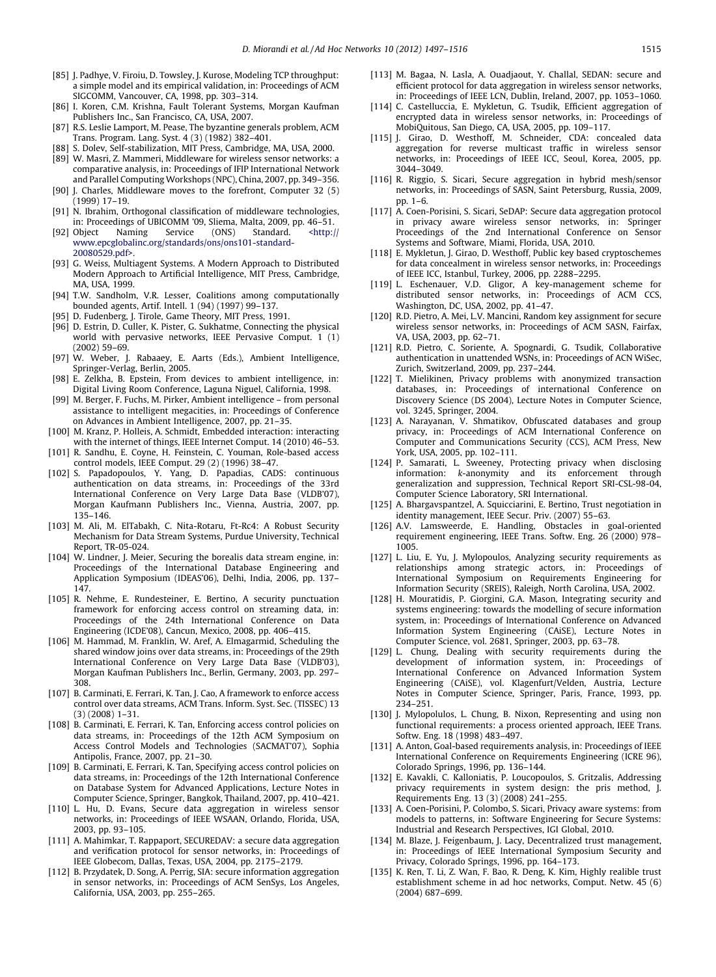- <span id="page-18-0"></span>[85] J. Padhye, V. Firoiu, D. Towsley, J. Kurose, Modeling TCP throughput: a simple model and its empirical validation, in: Proceedings of ACM SIGCOMM, Vancouver, CA, 1998, pp. 303–314.
- [86] I. Koren, C.M. Krishna, Fault Tolerant Systems, Morgan Kaufman Publishers Inc., San Francisco, CA, USA, 2007.
- [87] R.S. Leslie Lamport, M. Pease, The byzantine generals problem, ACM Trans. Program. Lang. Syst. 4 (3) (1982) 382–401.
- [88] S. Dolev, Self-stabilization, MIT Press, Cambridge, MA, USA, 2000.
- [89] W. Masri, Z. Mammeri, Middleware for wireless sensor networks: a comparative analysis, in: Proceedings of IFIP International Network and Parallel Computing Workshops (NPC), China, 2007, pp. 349–356.
- [90] J. Charles, Middleware moves to the forefront, Computer 32 (5) (1999) 17–19.
- [91] N. Ibrahim, Orthogonal classification of middleware technologies, in: Proceedings of UBICOMM '09, Sliema, Malta, 2009, pp. 46–51.
- [92] Object Naming Service (ONS) Standard. [<http://](http://www.epcglobalinc.org/standards/ons/ons101-standard-20080529.pdf) [www.epcglobalinc.org/standards/ons/ons101-standard-](http://www.epcglobalinc.org/standards/ons/ons101-standard-20080529.pdf)[20080529.pdf>](http://www.epcglobalinc.org/standards/ons/ons101-standard-20080529.pdf).
- [93] G. Weiss, Multiagent Systems. A Modern Approach to Distributed Modern Approach to Artificial Intelligence, MIT Press, Cambridge, MA, USA, 1999.
- [94] T.W. Sandholm, V.R. Lesser, Coalitions among computationally bounded agents, Artif. Intell. 1 (94) (1997) 99–137.
- [95] D. Fudenberg, J. Tirole, Game Theory, MIT Press, 1991.
- [96] D. Estrin, D. Culler, K. Pister, G. Sukhatme, Connecting the physical world with pervasive networks, IEEE Pervasive Comput. 1 (1) (2002) 59–69.
- [97] W. Weber, J. Rabaaey, E. Aarts (Eds.), Ambient Intelligence, Springer-Verlag, Berlin, 2005.
- [98] E. Zelkha, B. Epstein, From devices to ambient intelligence, in: Digital Living Room Conference, Laguna Niguel, California, 1998.
- [99] M. Berger, F. Fuchs, M. Pirker, Ambient intelligence from personal assistance to intelligent megacities, in: Proceedings of Conference on Advances in Ambient Intelligence, 2007, pp. 21–35.
- [100] M. Kranz, P. Holleis, A. Schmidt, Embedded interaction: interacting with the internet of things, IEEE Internet Comput. 14 (2010) 46–53.
- [101] R. Sandhu, E. Coyne, H. Feinstein, C. Youman, Role-based access control models, IEEE Comput. 29 (2) (1996) 38–47.
- [102] S. Papadopoulos, Y. Yang, D. Papadias, CADS: continuous authentication on data streams, in: Proceedings of the 33rd International Conference on Very Large Data Base (VLDB'07), Morgan Kaufmann Publishers Inc., Vienna, Austria, 2007, pp. 135–146.
- [103] M. Ali, M. ElTabakh, C. Nita-Rotaru, Ft-Rc4: A Robust Security Mechanism for Data Stream Systems, Purdue University, Technical Report, TR-05-024.
- [104] W. Lindner, J. Meier, Securing the borealis data stream engine, in: Proceedings of the International Database Engineering and Application Symposium (IDEAS'06), Delhi, India, 2006, pp. 137– 147.
- [105] R. Nehme, E. Rundesteiner, E. Bertino, A security punctuation framework for enforcing access control on streaming data, in: Proceedings of the 24th International Conference on Data Engineering (ICDE'08), Cancun, Mexico, 2008, pp. 406–415.
- [106] M. Hammad, M. Franklin, W. Aref, A. Elmagarmid, Scheduling the shared window joins over data streams, in: Proceedings of the 29th International Conference on Very Large Data Base (VLDB'03), Morgan Kaufman Publishers Inc., Berlin, Germany, 2003, pp. 297– 308.
- [107] B. Carminati, E. Ferrari, K. Tan, J. Cao, A framework to enforce access control over data streams, ACM Trans. Inform. Syst. Sec. (TISSEC) 13 (3) (2008) 1–31.
- [108] B. Carminati, E. Ferrari, K. Tan, Enforcing access control policies on data streams, in: Proceedings of the 12th ACM Symposium on Access Control Models and Technologies (SACMAT'07), Sophia Antipolis, France, 2007, pp. 21–30.
- [109] B. Carminati, E. Ferrari, K. Tan, Specifying access control policies on data streams, in: Proceedings of the 12th International Conference on Database System for Advanced Applications, Lecture Notes in Computer Science, Springer, Bangkok, Thailand, 2007, pp. 410–421.
- [110] L. Hu, D. Evans, Secure data aggregation in wireless sensor networks, in: Proceedings of IEEE WSAAN, Orlando, Florida, USA, 2003, pp. 93–105.
- [111] A. Mahimkar, T. Rappaport, SECUREDAV: a secure data aggregation and verification protocol for sensor networks, in: Proceedings of IEEE Globecom, Dallas, Texas, USA, 2004, pp. 2175–2179.
- [112] B. Przydatek, D. Song, A. Perrig, SIA: secure information aggregation in sensor networks, in: Proceedings of ACM SenSys, Los Angeles, California, USA, 2003, pp. 255–265.
- [113] M. Bagaa, N. Lasla, A. Ouadjaout, Y. Challal, SEDAN: secure and efficient protocol for data aggregation in wireless sensor networks, in: Proceedings of IEEE LCN, Dublin, Ireland, 2007, pp. 1053–1060.
- [114] C. Castelluccia, E. Mykletun, G. Tsudik, Efficient aggregation of encrypted data in wireless sensor networks, in: Proceedings of MobiQuitous, San Diego, CA, USA, 2005, pp. 109–117.
- [115] J. Girao, D. Westhoff, M. Schneider, CDA: concealed data aggregation for reverse multicast traffic in wireless sensor networks, in: Proceedings of IEEE ICC, Seoul, Korea, 2005, pp. 3044–3049.
- [116] R. Riggio, S. Sicari, Secure aggregation in hybrid mesh/sensor networks, in: Proceedings of SASN, Saint Petersburg, Russia, 2009, pp. 1–6.
- [117] A. Coen-Porisini, S. Sicari, SeDAP: Secure data aggregation protocol in privacy aware wireless sensor networks, in: Springer Proceedings of the 2nd International Conference on Sensor Systems and Software, Miami, Florida, USA, 2010.
- [118] E. Mykletun, J. Girao, D. Westhoff, Public key based cryptoschemes for data concealment in wireless sensor networks, in: Proceedings of IEEE ICC, Istanbul, Turkey, 2006, pp. 2288–2295.
- [119] L. Eschenauer, V.D. Gligor, A key-management scheme for distributed sensor networks, in: Proceedings of ACM CCS, Washington, DC, USA, 2002, pp. 41–47.
- [120] R.D. Pietro, A. Mei, L.V. Mancini, Random key assignment for secure wireless sensor networks, in: Proceedings of ACM SASN, Fairfax, VA, USA, 2003, pp. 62–71.
- [121] R.D. Pietro, C. Soriente, A. Spognardi, G. Tsudik, Collaborative authentication in unattended WSNs, in: Proceedings of ACN WiSec, Zurich, Switzerland, 2009, pp. 237–244.
- [122] T. Mielikinen, Privacy problems with anonymized transaction databases, in: Proceedings of international Conference on Discovery Science (DS 2004), Lecture Notes in Computer Science, vol. 3245, Springer, 2004.
- [123] A. Narayanan, V. Shmatikov, Obfuscated databases and group privacy, in: Proceedings of ACM International Conference on Computer and Communications Security (CCS), ACM Press, New York, USA, 2005, pp. 102–111.
- [124] P. Samarati, L. Sweeney, Protecting privacy when disclosing information: k-anonymity and its enforcement through generalization and suppression, Technical Report SRI-CSL-98-04, Computer Science Laboratory, SRI International.
- [125] A. Bhargavspantzel, A. Squicciarini, E. Bertino, Trust negotiation in identity management, IEEE Secur. Priv. (2007) 55–63.
- [126] A.V. Lamsweerde, E. Handling, Obstacles in goal-oriented requirement engineering, IEEE Trans. Softw. Eng. 26 (2000) 978– 1005.
- [127] L. Liu, E. Yu, J. Mylopoulos, Analyzing security requirements as relationships among strategic actors, in: Proceedings of International Symposium on Requirements Engineering for Information Security (SREIS), Raleigh, North Carolina, USA, 2002.
- [128] H. Mouratidis, P. Giorgini, G.A. Mason, Integrating security and systems engineering: towards the modelling of secure information system, in: Proceedings of International Conference on Advanced Information System Engineering (CAiSE), Lecture Notes in Computer Science, vol. 2681, Springer, 2003, pp. 63–78.
- [129] L. Chung, Dealing with security requirements during the development of information system, in: Proceedings of International Conference on Advanced Information System Engineering (CAiSE), vol. Klagenfurt/Velden, Austria, Lecture Notes in Computer Science, Springer, Paris, France, 1993, pp. 234–251.
- [130] J. Mylopolulos, L. Chung, B. Nixon, Representing and using non functional requirements: a process oriented approach, IEEE Trans. Softw. Eng. 18 (1998) 483–497.
- [131] A. Anton, Goal-based requirements analysis, in: Proceedings of IEEE International Conference on Requirements Engineering (ICRE 96), Colorado Springs, 1996, pp. 136–144.
- [132] E. Kavakli, C. Kalloniatis, P. Loucopoulos, S. Gritzalis, Addressing privacy requirements in system design: the pris method, J. Requirements Eng. 13 (3) (2008) 241–255.
- [133] A. Coen-Porisini, P. Colombo, S. Sicari, Privacy aware systems: from models to patterns, in: Software Engineering for Secure Systems: Industrial and Research Perspectives, IGI Global, 2010.
- [134] M. Blaze, J. Feigenbaum, J. Lacy, Decentralized trust management, in: Proceedings of IEEE International Symposium Security and Privacy, Colorado Springs, 1996, pp. 164–173.
- [135] K. Ren, T. Li, Z. Wan, F. Bao, R. Deng, K. Kim, Highly realible trust establishment scheme in ad hoc networks, Comput. Netw. 45 (6) (2004) 687–699.